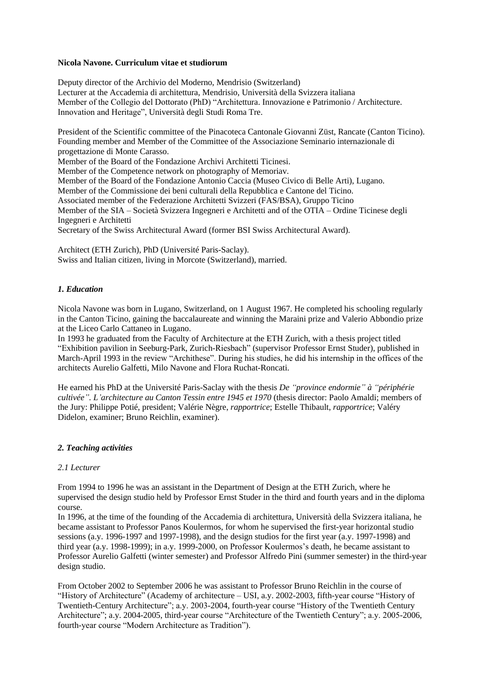### **Nicola Navone. Curriculum vitae et studiorum**

Deputy director of the Archivio del Moderno, Mendrisio (Switzerland) Lecturer at the Accademia di architettura, Mendrisio, Università della Svizzera italiana Member of the Collegio del Dottorato (PhD) "Architettura. Innovazione e Patrimonio / Architecture. Innovation and Heritage", Università degli Studi Roma Tre.

President of the Scientific committee of the Pinacoteca Cantonale Giovanni Züst, Rancate (Canton Ticino). Founding member and Member of the Committee of the Associazione Seminario internazionale di progettazione di Monte Carasso.

Member of the Board of the Fondazione Archivi Architetti Ticinesi.

Member of the Competence network on photography of Memoriav.

Member of the Board of the Fondazione Antonio Caccia (Museo Civico di Belle Arti), Lugano.

Member of the Commissione dei beni culturali della Repubblica e Cantone del Ticino.

Associated member of the Federazione Architetti Svizzeri (FAS/BSA), Gruppo Ticino

Member of the SIA – Società Svizzera Ingegneri e Architetti and of the OTIA – Ordine Ticinese degli Ingegneri e Architetti

Secretary of the Swiss Architectural Award (former BSI Swiss Architectural Award).

Architect (ETH Zurich), PhD (Université Paris-Saclay). Swiss and Italian citizen, living in Morcote (Switzerland), married.

## *1. Education*

Nicola Navone was born in Lugano, Switzerland, on 1 August 1967. He completed his schooling regularly in the Canton Ticino, gaining the baccalaureate and winning the Maraini prize and Valerio Abbondio prize at the Liceo Carlo Cattaneo in Lugano.

In 1993 he graduated from the Faculty of Architecture at the ETH Zurich, with a thesis project titled "Exhibition pavilion in Seeburg-Park, Zurich-Riesbach" (supervisor Professor Ernst Studer), published in March-April 1993 in the review "Archithese". During his studies, he did his internship in the offices of the architects Aurelio Galfetti, Milo Navone and Flora Ruchat-Roncati.

He earned his PhD at the Université Paris-Saclay with the thesis *De "province endormie" à "périphérie cultivée". L'architecture au Canton Tessin entre 1945 et 1970* (thesis director: Paolo Amaldi; members of the Jury: Philippe Potié, president; Valérie Nègre, *rapportrice*; Estelle Thibault, *rapportrice*; Valéry Didelon, examiner; Bruno Reichlin, examiner).

## *2. Teaching activities*

## *2.1 Lecturer*

From 1994 to 1996 he was an assistant in the Department of Design at the ETH Zurich, where he supervised the design studio held by Professor Ernst Studer in the third and fourth years and in the diploma course.

In 1996, at the time of the founding of the Accademia di architettura, Università della Svizzera italiana, he became assistant to Professor Panos Koulermos, for whom he supervised the first-year horizontal studio sessions (a.y. 1996-1997 and 1997-1998), and the design studios for the first year (a.y. 1997-1998) and third year (a.y. 1998-1999); in a.y. 1999-2000, on Professor Koulermos's death, he became assistant to Professor Aurelio Galfetti (winter semester) and Professor Alfredo Pini (summer semester) in the third-year design studio.

From October 2002 to September 2006 he was assistant to Professor Bruno Reichlin in the course of "History of Architecture" (Academy of architecture – USI, a.y. 2002-2003, fifth-year course "History of Twentieth-Century Architecture"; a.y. 2003-2004, fourth-year course "History of the Twentieth Century Architecture"; a.y. 2004-2005, third-year course "Architecture of the Twentieth Century"; a.y. 2005-2006, fourth-year course "Modern Architecture as Tradition").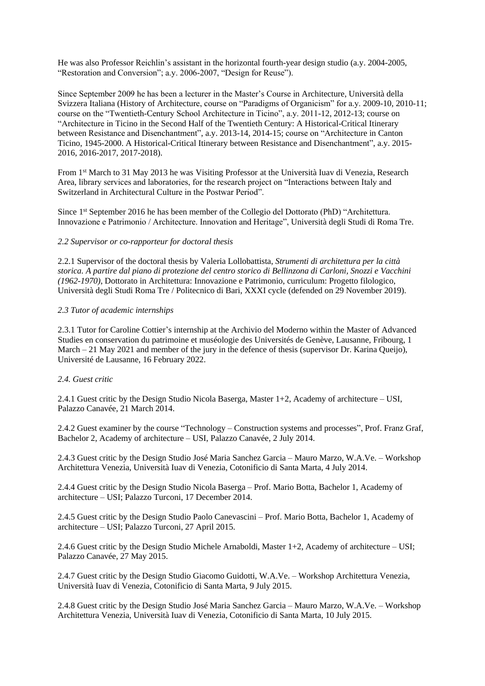He was also Professor Reichlin's assistant in the horizontal fourth-year design studio (a.y. 2004-2005, "Restoration and Conversion"; a.y. 2006-2007, "Design for Reuse").

Since September 2009 he has been a lecturer in the Master's Course in Architecture, Università della Svizzera Italiana (History of Architecture, course on "Paradigms of Organicism" for a.y. 2009-10, 2010-11; course on the "Twentieth-Century School Architecture in Ticino", a.y. 2011-12, 2012-13; course on "Architecture in Ticino in the Second Half of the Twentieth Century: A Historical-Critical Itinerary between Resistance and Disenchantment", a.y. 2013-14, 2014-15; course on "Architecture in Canton Ticino, 1945-2000. A Historical-Critical Itinerary between Resistance and Disenchantment", a.y. 2015- 2016, 2016-2017, 2017-2018).

From 1st March to 31 May 2013 he was Visiting Professor at the Università Iuav di Venezia, Research Area, library services and laboratories, for the research project on "Interactions between Italy and Switzerland in Architectural Culture in the Postwar Period".

Since 1<sup>st</sup> September 2016 he has been member of the Collegio del Dottorato (PhD) "Architettura. Innovazione e Patrimonio / Architecture. Innovation and Heritage", Università degli Studi di Roma Tre.

### *2.2 Supervisor or co-rapporteur for doctoral thesis*

2.2.1 Supervisor of the doctoral thesis by Valeria Lollobattista, *Strumenti di architettura per la città storica. A partire dal piano di protezione del centro storico di Bellinzona di Carloni, Snozzi e Vacchini (1962-1970)*, Dottorato in Architettura: Innovazione e Patrimonio, curriculum: Progetto filologico, Università degli Studi Roma Tre / Politecnico di Bari, XXXI cycle (defended on 29 November 2019).

### *2.3 Tutor of academic internships*

2.3.1 Tutor for Caroline Cottier's internship at the Archivio del Moderno within the Master of Advanced Studies en conservation du patrimoine et muséologie des Universités de Genève, Lausanne, Fribourg, 1 March – 21 May 2021 and member of the jury in the defence of thesis (supervisor Dr. Karina Queijo), Université de Lausanne, 16 February 2022.

## *2.4. Guest critic*

2.4.1 Guest critic by the Design Studio Nicola Baserga, Master 1+2, Academy of architecture – USI, Palazzo Canavée, 21 March 2014.

2.4.2 Guest examiner by the course "Technology – Construction systems and processes", Prof. Franz Graf, Bachelor 2, Academy of architecture – USI, Palazzo Canavée, 2 July 2014.

2.4.3 Guest critic by the Design Studio José Maria Sanchez Garcia – Mauro Marzo, W.A.Ve. – Workshop Architettura Venezia, Università Iuav di Venezia, Cotonificio di Santa Marta, 4 July 2014.

2.4.4 Guest critic by the Design Studio Nicola Baserga – Prof. Mario Botta, Bachelor 1, Academy of architecture – USI; Palazzo Turconi, 17 December 2014.

2.4.5 Guest critic by the Design Studio Paolo Canevascini – Prof. Mario Botta, Bachelor 1, Academy of architecture – USI; Palazzo Turconi, 27 April 2015.

2.4.6 Guest critic by the Design Studio Michele Arnaboldi, Master 1+2, Academy of architecture – USI; Palazzo Canavée, 27 May 2015.

2.4.7 Guest critic by the Design Studio Giacomo Guidotti, W.A.Ve. – Workshop Architettura Venezia, Università Iuav di Venezia, Cotonificio di Santa Marta, 9 July 2015.

2.4.8 Guest critic by the Design Studio José Maria Sanchez Garcia – Mauro Marzo, W.A.Ve. – Workshop Architettura Venezia, Università Iuav di Venezia, Cotonificio di Santa Marta, 10 July 2015.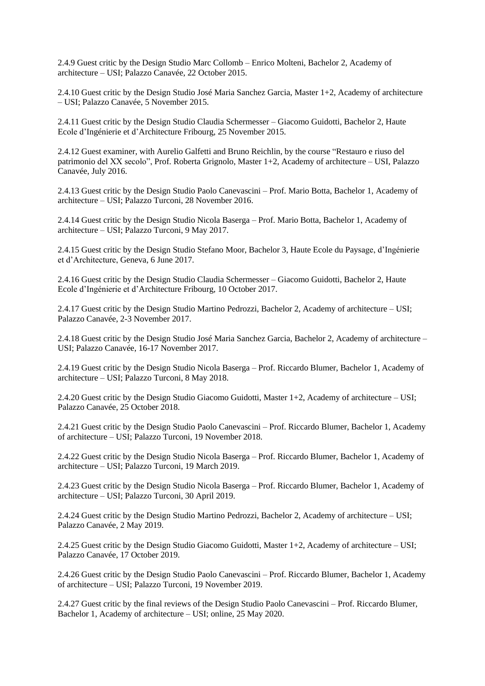2.4.9 Guest critic by the Design Studio Marc Collomb – Enrico Molteni, Bachelor 2, Academy of architecture – USI; Palazzo Canavée, 22 October 2015.

2.4.10 Guest critic by the Design Studio José Maria Sanchez Garcia, Master 1+2, Academy of architecture – USI; Palazzo Canavée, 5 November 2015.

2.4.11 Guest critic by the Design Studio Claudia Schermesser – Giacomo Guidotti, Bachelor 2, Haute Ecole d'Ingénierie et d'Architecture Fribourg, 25 November 2015.

2.4.12 Guest examiner, with Aurelio Galfetti and Bruno Reichlin, by the course "Restauro e riuso del patrimonio del XX secolo", Prof. Roberta Grignolo, Master 1+2, Academy of architecture – USI, Palazzo Canavée, July 2016.

2.4.13 Guest critic by the Design Studio Paolo Canevascini – Prof. Mario Botta, Bachelor 1, Academy of architecture – USI; Palazzo Turconi, 28 November 2016.

2.4.14 Guest critic by the Design Studio Nicola Baserga – Prof. Mario Botta, Bachelor 1, Academy of architecture – USI; Palazzo Turconi, 9 May 2017.

2.4.15 Guest critic by the Design Studio Stefano Moor, Bachelor 3, Haute Ecole du Paysage, d'Ingénierie et d'Architecture, Geneva, 6 June 2017.

2.4.16 Guest critic by the Design Studio Claudia Schermesser – Giacomo Guidotti, Bachelor 2, Haute Ecole d'Ingénierie et d'Architecture Fribourg, 10 October 2017.

2.4.17 Guest critic by the Design Studio Martino Pedrozzi, Bachelor 2, Academy of architecture – USI; Palazzo Canavée, 2-3 November 2017.

2.4.18 Guest critic by the Design Studio José Maria Sanchez Garcia, Bachelor 2, Academy of architecture – USI; Palazzo Canavée, 16-17 November 2017.

2.4.19 Guest critic by the Design Studio Nicola Baserga – Prof. Riccardo Blumer, Bachelor 1, Academy of architecture – USI; Palazzo Turconi, 8 May 2018.

2.4.20 Guest critic by the Design Studio Giacomo Guidotti, Master 1+2, Academy of architecture – USI; Palazzo Canavée, 25 October 2018.

2.4.21 Guest critic by the Design Studio Paolo Canevascini – Prof. Riccardo Blumer, Bachelor 1, Academy of architecture – USI; Palazzo Turconi, 19 November 2018.

2.4.22 Guest critic by the Design Studio Nicola Baserga – Prof. Riccardo Blumer, Bachelor 1, Academy of architecture – USI; Palazzo Turconi, 19 March 2019.

2.4.23 Guest critic by the Design Studio Nicola Baserga – Prof. Riccardo Blumer, Bachelor 1, Academy of architecture – USI; Palazzo Turconi, 30 April 2019.

2.4.24 Guest critic by the Design Studio Martino Pedrozzi, Bachelor 2, Academy of architecture – USI; Palazzo Canavée, 2 May 2019.

2.4.25 Guest critic by the Design Studio Giacomo Guidotti, Master 1+2, Academy of architecture – USI; Palazzo Canavée, 17 October 2019.

2.4.26 Guest critic by the Design Studio Paolo Canevascini – Prof. Riccardo Blumer, Bachelor 1, Academy of architecture – USI; Palazzo Turconi, 19 November 2019.

2.4.27 Guest critic by the final reviews of the Design Studio Paolo Canevascini – Prof. Riccardo Blumer, Bachelor 1, Academy of architecture – USI; online, 25 May 2020.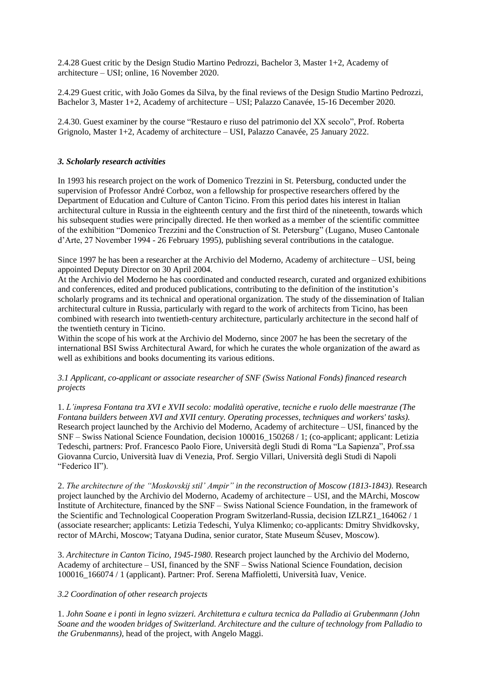2.4.28 Guest critic by the Design Studio Martino Pedrozzi, Bachelor 3, Master 1+2, Academy of architecture – USI; online, 16 November 2020.

2.4.29 Guest critic, with João Gomes da Silva, by the final reviews of the Design Studio Martino Pedrozzi, Bachelor 3, Master 1+2, Academy of architecture – USI; Palazzo Canavée, 15-16 December 2020.

2.4.30. Guest examiner by the course "Restauro e riuso del patrimonio del XX secolo", Prof. Roberta Grignolo, Master 1+2, Academy of architecture – USI, Palazzo Canavée, 25 January 2022.

### *3. Scholarly research activities*

In 1993 his research project on the work of Domenico Trezzini in St. Petersburg, conducted under the supervision of Professor André Corboz, won a fellowship for prospective researchers offered by the Department of Education and Culture of Canton Ticino. From this period dates his interest in Italian architectural culture in Russia in the eighteenth century and the first third of the nineteenth, towards which his subsequent studies were principally directed. He then worked as a member of the scientific committee of the exhibition "Domenico Trezzini and the Construction of St. Petersburg" (Lugano, Museo Cantonale d'Arte, 27 November 1994 - 26 February 1995), publishing several contributions in the catalogue.

Since 1997 he has been a researcher at the Archivio del Moderno, Academy of architecture – USI, being appointed Deputy Director on 30 April 2004.

At the Archivio del Moderno he has coordinated and conducted research, curated and organized exhibitions and conferences, edited and produced publications, contributing to the definition of the institution's scholarly programs and its technical and operational organization. The study of the dissemination of Italian architectural culture in Russia, particularly with regard to the work of architects from Ticino, has been combined with research into twentieth-century architecture, particularly architecture in the second half of the twentieth century in Ticino.

Within the scope of his work at the Archivio del Moderno, since 2007 he has been the secretary of the international BSI Swiss Architectural Award, for which he curates the whole organization of the award as well as exhibitions and books documenting its various editions.

*3.1 Applicant, co-applicant or associate researcher of SNF (Swiss National Fonds) financed research projects*

1. *L'impresa Fontana tra XVI e XVII secolo: modalità operative, tecniche e ruolo delle maestranze (The Fontana builders between XVI and XVII century. Operating processes, techniques and workers' tasks).* Research project launched by the Archivio del Moderno, Academy of architecture – USI, financed by the SNF – Swiss National Science Foundation, decision 100016\_150268 / 1; (co-applicant; applicant: Letizia Tedeschi, partners: Prof. Francesco Paolo Fiore, Università degli Studi di Roma "La Sapienza", Prof.ssa Giovanna Curcio, Università Iuav di Venezia, Prof. Sergio Villari, Università degli Studi di Napoli "Federico II").

2. *The architecture of the "Moskovskij stil' Ampir" in the reconstruction of Moscow (1813-1843)*. Research project launched by the Archivio del Moderno, Academy of architecture – USI, and the MArchi, Moscow Institute of Architecture, financed by the SNF – Swiss National Science Foundation, in the framework of the Scientific and Technological Cooperation Program Switzerland-Russia, decision IZLRZ1\_164062 / 1 (associate researcher; applicants: Letizia Tedeschi, Yulya Klimenko; co-applicants: Dmitry Shvidkovsky, rector of MArchi, Moscow; Tatyana Dudina, senior curator, State Museum Ščusev, Moscow).

3. *Architecture in Canton Ticino, 1945-1980*. Research project launched by the Archivio del Moderno, Academy of architecture – USI, financed by the SNF – Swiss National Science Foundation, decision 100016\_166074 / 1 (applicant). Partner: Prof. Serena Maffioletti, Università Iuav, Venice.

### *3.2 Coordination of other research projects*

1. *John Soane e i ponti in legno svizzeri. Architettura e cultura tecnica da Palladio ai Grubenmann (John Soane and the wooden bridges of Switzerland. Architecture and the culture of technology from Palladio to the Grubenmanns)*, head of the project, with Angelo Maggi.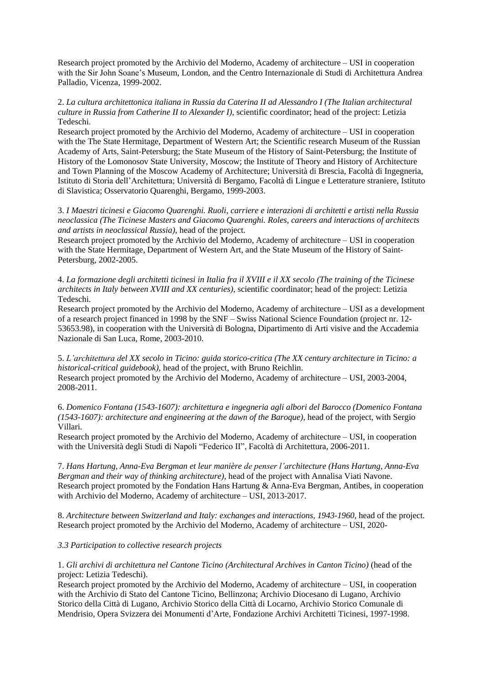Research project promoted by the Archivio del Moderno, Academy of architecture – USI in cooperation with the Sir John Soane's Museum, London, and the Centro Internazionale di Studi di Architettura Andrea Palladio, Vicenza, 1999-2002.

2. *La cultura architettonica italiana in Russia da Caterina II ad Alessandro I (The Italian architectural culture in Russia from Catherine II to Alexander I)*, scientific coordinator; head of the project: Letizia Tedeschi.

Research project promoted by the Archivio del Moderno, Academy of architecture – USI in cooperation with the The State Hermitage, Department of Western Art; the Scientific research Museum of the Russian Academy of Arts, Saint-Petersburg; the State Museum of the History of Saint-Petersburg; the Institute of History of the Lomonosov State University, Moscow; the Institute of Theory and History of Architecture and Town Planning of the Moscow Academy of Architecture; Università di Brescia, Facoltà di Ingegneria, Istituto di Storia dell'Architettura; Università di Bergamo, Facoltà di Lingue e Letterature straniere, Istituto di Slavistica; Osservatorio Quarenghi, Bergamo, 1999-2003.

3. *I Maestri ticinesi e Giacomo Quarenghi. Ruoli, carriere e interazioni di architetti e artisti nella Russia neoclassica (The Ticinese Masters and Giacomo Quarenghi. Roles, careers and interactions of architects and artists in neoclassical Russia)*, head of the project.

Research project promoted by the Archivio del Moderno, Academy of architecture – USI in cooperation with the State Hermitage, Department of Western Art, and the State Museum of the History of Saint-Petersburg, 2002-2005.

4. *La formazione degli architetti ticinesi in Italia fra il XVIII e il XX secolo (The training of the Ticinese architects in Italy between XVIII and XX centuries)*, scientific coordinator; head of the project: Letizia Tedeschi.

Research project promoted by the Archivio del Moderno, Academy of architecture – USI as a development of a research project financed in 1998 by the SNF – Swiss National Science Foundation (project nr. 12- 53653.98), in cooperation with the Università di Bologna, Dipartimento di Arti visive and the Accademia Nazionale di San Luca, Rome, 2003-2010.

5. *L'architettura del XX secolo in Ticino: guida storico-critica (The XX century architecture in Ticino: a historical-critical guidebook),* head of the project, with Bruno Reichlin.

Research project promoted by the Archivio del Moderno, Academy of architecture – USI, 2003-2004, 2008-2011.

6. *Domenico Fontana (1543-1607): architettura e ingegneria agli albori del Barocco (Domenico Fontana (1543-1607): architecture and engineering at the dawn of the Baroque),* head of the project, with Sergio Villari.

Research project promoted by the Archivio del Moderno, Academy of architecture – USI, in cooperation with the Università degli Studi di Napoli "Federico II", Facoltà di Architettura, 2006-2011.

7. *Hans Hartung, Anna-Eva Bergman et leur manière de penser l'architecture (Hans Hartung, Anna-Eva Bergman and their way of thinking architecture)*, head of the project with Annalisa Viati Navone. Research project promoted by the Fondation Hans Hartung & Anna-Eva Bergman, Antibes, in cooperation with Archivio del Moderno, Academy of architecture – USI, 2013-2017.

8. *Architecture between Switzerland and Italy: exchanges and interactions, 1943-1960*, head of the project. Research project promoted by the Archivio del Moderno, Academy of architecture – USI, 2020-

### *3.3 Participation to collective research projects*

1. *Gli archivi di architettura nel Cantone Ticino (Architectural Archives in Canton Ticino)* (head of the project: Letizia Tedeschi).

Research project promoted by the Archivio del Moderno, Academy of architecture – USI, in cooperation with the Archivio di Stato del Cantone Ticino, Bellinzona; Archivio Diocesano di Lugano, Archivio Storico della Città di Lugano, Archivio Storico della Città di Locarno, Archivio Storico Comunale di Mendrisio, Opera Svizzera dei Monumenti d'Arte, Fondazione Archivi Architetti Ticinesi, 1997-1998.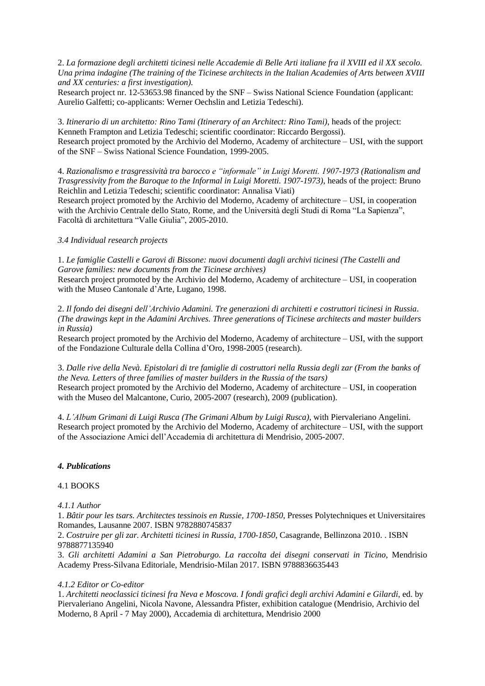2. *La formazione degli architetti ticinesi nelle Accademie di Belle Arti italiane fra il XVIII ed il XX secolo. Una prima indagine (The training of the Ticinese architects in the Italian Academies of Arts between XVIII and XX centuries: a first investigation).*

Research project nr. 12-53653.98 financed by the SNF – Swiss National Science Foundation (applicant: Aurelio Galfetti; co-applicants: Werner Oechslin and Letizia Tedeschi).

3. *Itinerario di un architetto: Rino Tami (Itinerary of an Architect: Rino Tami)*, heads of the project: Kenneth Frampton and Letizia Tedeschi; scientific coordinator: Riccardo Bergossi). Research project promoted by the Archivio del Moderno, Academy of architecture – USI, with the support of the SNF – Swiss National Science Foundation, 1999-2005.

4. *Razionalismo e trasgressività tra barocco e "informale" in Luigi Moretti. 1907-1973 (Rationalism and Trasgressivity from the Baroque to the Informal in Luigi Moretti. 1907-1973)*, heads of the project: Bruno Reichlin and Letizia Tedeschi; scientific coordinator: Annalisa Viati)

Research project promoted by the Archivio del Moderno, Academy of architecture – USI, in cooperation with the Archivio Centrale dello Stato, Rome, and the Università degli Studi di Roma "La Sapienza", Facoltà di architettura "Valle Giulia", 2005-2010.

### *3.4 Individual research projects*

1. *Le famiglie Castelli e Garovi di Bissone: nuovi documenti dagli archivi ticinesi (The Castelli and Garove families: new documents from the Ticinese archives)*

Research project promoted by the Archivio del Moderno, Academy of architecture – USI, in cooperation with the Museo Cantonale d'Arte, Lugano, 1998.

2. *Il fondo dei disegni dell'Archivio Adamini. Tre generazioni di architetti e costruttori ticinesi in Russia*. *(The drawings kept in the Adamini Archives. Three generations of Ticinese architects and master builders in Russia)*

Research project promoted by the Archivio del Moderno, Academy of architecture – USI, with the support of the Fondazione Culturale della Collina d'Oro, 1998-2005 (research).

3. *Dalle rive della Nevà. Epistolari di tre famiglie di costruttori nella Russia degli zar (From the banks of the Neva. Letters of three families of master builders in the Russia of the tsars)* Research project promoted by the Archivio del Moderno, Academy of architecture – USI, in cooperation with the Museo del Malcantone, Curio, 2005-2007 (research), 2009 (publication).

4. *L'Album Grimani di Luigi Rusca (The Grimani Album by Luigi Rusca)*, with Piervaleriano Angelini. Research project promoted by the Archivio del Moderno, Academy of architecture – USI, with the support of the Associazione Amici dell'Accademia di architettura di Mendrisio, 2005-2007.

### *4. Publications*

### 4.1 BOOKS

## *4.1.1 Author*

1. *Bâtir pour les tsars. Architectes tessinois en Russie, 1700-1850*, Presses Polytechniques et Universitaires Romandes, Lausanne 2007. ISBN 9782880745837

2. *Costruire per gli zar. Architetti ticinesi in Russia, 1700-1850*, Casagrande, Bellinzona 2010. . ISBN 9788877135940

3. *Gli architetti Adamini a San Pietroburgo. La raccolta dei disegni conservati in Ticino*, Mendrisio Academy Press-Silvana Editoriale, Mendrisio-Milan 2017. ISBN 9788836635443

### *4.1.2 Editor or Co-editor*

1. *Architetti neoclassici ticinesi fra Neva e Moscova. I fondi grafici degli archivi Adamini e Gilardi*, ed. by Piervaleriano Angelini, Nicola Navone, Alessandra Pfister, exhibition catalogue (Mendrisio, Archivio del Moderno, 8 April - 7 May 2000), Accademia di architettura, Mendrisio 2000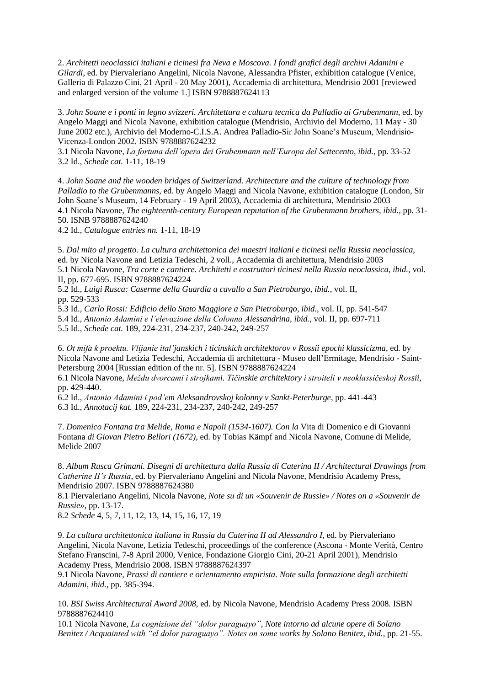2. *Architetti neoclassici italiani e ticinesi fra Neva e Moscova. I fondi grafici degli archivi Adamini e Gilardi*, ed. by Piervaleriano Angelini, Nicola Navone, Alessandra Pfister, exhibition catalogue (Venice, Galleria di Palazzo Cini, 21 April - 20 May 2001), Accademia di architettura, Mendrisio 2001 [reviewed and enlarged version of the volume 1.] ISBN 9788887624113

3. *John Soane e i ponti in legno svizzeri. Architettura e cultura tecnica da Palladio ai Grubenmann*, ed. by Angelo Maggi and Nicola Navone, exhibition catalogue (Mendrisio, Archivio del Moderno, 11 May - 30 June 2002 etc.), Archivio del Moderno-C.I.S.A. Andrea Palladio-Sir John Soane's Museum, Mendrisio-Vicenza-London 2002. ISBN 9788887624232

3.1 Nicola Navone, *La fortuna dell'opera dei Grubenmann nell'Europa del Settecento*, *ibid.*, pp. 33-52 3.2 Id., *Schede cat.* 1-11, 18-19

4. *John Soane and the wooden bridges of Switzerland. Architecture and the culture of technology from Palladio to the Grubenmanns,* ed. by Angelo Maggi and Nicola Navone, exhibition catalogue (London, Sir John Soane's Museum, 14 February - 19 April 2003), Accademia di architettura, Mendrisio 2003 4.1 Nicola Navone, *The eighteenth-century European reputation of the Grubenmann brothers*, *ibid.*, pp. 31- 50. ISNB 9788887624240

4.2 Id., *Catalogue entries nn.* 1-11, 18-19

5. *Dal mito al progetto. La cultura architettonica dei maestri italiani e ticinesi nella Russia neoclassica*, ed. by Nicola Navone and Letizia Tedeschi, 2 voll., Accademia di architettura, Mendrisio 2003 5.1 Nicola Navone, *Tra corte e cantiere. Architetti e costruttori ticinesi nella Russia neoclassica*, *ibid.*, vol. II, pp. 677-695. ISBN 9788887624224

5.2 Id., *Luigi Rusca: Caserme della Guardia a cavallo a San Pietroburgo*, *ibid.*, vol. II, pp. 529-533

5.3 Id., *Carlo Rossi: Edificio dello Stato Maggiore a San Pietroburgo*, *ibid.*, vol. II, pp. 541-547

5.4 Id., *Antonio Adamini e l'elevazione della Colonna Alessandrina*, *ibid.*, vol. II, pp. 697-711

5.5 Id., *Schede cat.* 189, 224-231, 234-237, 240-242, 249-257

6. *Ot mifa k proektu. Vlijanie ital'janskich i ticinskich architektorov v Rossii epochi klassicizma*, ed. by Nicola Navone and Letizia Tedeschi, Accademia di architettura - Museo dell'Ermitage, Mendrisio - Saint-Petersburg 2004 [Russian edition of the nr. 5]. ISBN 9788887624224

6.1 Nicola Navone, *Meždu dvorcami i strojkami. Tičinskie architektory i stroiteli v neoklassičeskoj Rossii*, pp. 429-440.

6.2 Id., *Antonio Adamini i pod'em Aleksandrovskoj kolonny v Sankt-Peterburge*, pp. 441-443 6.3 Id., *Annotacij kat.* 189, 224-231, 234-237, 240-242, 249-257

7. *Domenico Fontana tra Melide, Roma e Napoli (1534-1607). Con la* Vita di Domenico e di Giovanni Fontana *di Giovan Pietro Bellori (1672)*, ed. by Tobias Kämpf and Nicola Navone, Comune di Melide, Melide 2007

8. *Album Rusca Grimani. Disegni di architettura dalla Russia di Caterina II / Architectural Drawings from Catherine II's Russia*, ed. by Piervaleriano Angelini and Nicola Navone, Mendrisio Academy Press, Mendrisio 2007. ISBN 9788887624380

8.1 Piervaleriano Angelini, Nicola Navone, *Note su di un «Souvenir de Russie» / Notes on a «Souvenir de Russie»*, pp. 13-17.

8.2 *Schede* 4, 5, 7, 11, 12, 13, 14, 15, 16, 17, 19

9. *La cultura architettonica italiana in Russia da Caterina II ad Alessandro I*, ed. by Piervaleriano Angelini, Nicola Navone, Letizia Tedeschi, proceedings of the conference (Ascona - Monte Verità, Centro Stefano Franscini, 7-8 April 2000, Venice, Fondazione Giorgio Cini, 20-21 April 2001), Mendrisio Academy Press, Mendrisio 2008. ISBN 9788887624397

9.1 Nicola Navone, *Prassi di cantiere e orientamento empirista. Note sulla formazione degli architetti Adamini*, *ibid.*, pp. 385-394.

10. *BSI Swiss Architectural Award 2008*, ed. by Nicola Navone, Mendrisio Academy Press 2008. ISBN 9788887624410

10.1 Nicola Navone, *La cognizione del "dolor paraguayo", Note intorno ad alcune opere di Solano Benitez / Acquainted with "el dolor paraguayo". Notes on some works by Solano Benitez*, *ibid.*, pp. 21-55.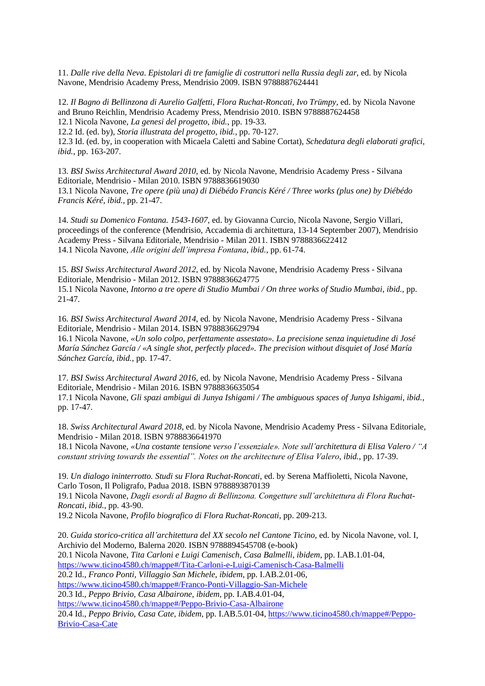11. *Dalle rive della Neva*. *Epistolari di tre famiglie di costruttori nella Russia degli zar*, ed. by Nicola Navone, Mendrisio Academy Press, Mendrisio 2009. ISBN 9788887624441

12. *Il Bagno di Bellinzona di Aurelio Galfetti, Flora Ruchat-Roncati, Ivo Trümpy*, ed. by Nicola Navone and Bruno Reichlin, Mendrisio Academy Press, Mendrisio 2010. ISBN 9788887624458 12.1 Nicola Navone, *La genesi del progetto*, *ibid.*, pp. 19-33.

12.2 Id. (ed. by), *Storia illustrata del progetto*, *ibid.*, pp. 70-127.

12.3 Id. (ed. by, in cooperation with Micaela Caletti and Sabine Cortat), *Schedatura degli elaborati grafici*, *ibid.*, pp. 163-207.

13. *BSI Swiss Architectural Award 2010*, ed. by Nicola Navone, Mendrisio Academy Press - Silvana Editoriale, Mendrisio - Milan 2010. ISBN 9788836619030 13.1 Nicola Navone, *Tre opere (più una) di Diébédo Francis Kéré / Three works (plus one) by Diébédo Francis Kéré*, *ibid.*, pp. 21-47.

14. *Studi su Domenico Fontana. 1543-1607,* ed. by Giovanna Curcio, Nicola Navone, Sergio Villari, proceedings of the conference (Mendrisio, Accademia di architettura, 13-14 September 2007), Mendrisio Academy Press - Silvana Editoriale, Mendrisio - Milan 2011. ISBN 9788836622412 14.1 Nicola Navone, *Alle origini dell'impresa Fontana*, *ibid.*, pp. 61-74.

15. *BSI Swiss Architectural Award 2012*, ed. by Nicola Navone, Mendrisio Academy Press - Silvana Editoriale, Mendrisio - Milan 2012. ISBN 9788836624775 15.1 Nicola Navone, *Intorno a tre opere di Studio Mumbai / On three works of Studio Mumbai*, *ibid.*, pp. 21-47.

16. *BSI Swiss Architectural Award 2014*, ed. by Nicola Navone, Mendrisio Academy Press - Silvana Editoriale, Mendrisio - Milan 2014. ISBN 9788836629794

16.1 Nicola Navone, *«Un solo colpo, perfettamente assestato». La precisione senza inquietudine di José María Sánchez García / «A single shot, perfectly placed». The precision without disquiet of José María Sánchez García*, *ibid.*, pp. 17-47.

17. *BSI Swiss Architectural Award 2016*, ed. by Nicola Navone, Mendrisio Academy Press - Silvana Editoriale, Mendrisio - Milan 2016. ISBN 9788836635054

17.1 Nicola Navone, *Gli spazi ambigui di Junya Ishigami / The ambiguous spaces of Junya Ishigami*, *ibid.*, pp. 17-47.

18. *Swiss Architectural Award 2018*, ed. by Nicola Navone, Mendrisio Academy Press - Silvana Editoriale, Mendrisio - Milan 2018. ISBN 9788836641970

18.1 Nicola Navone, *«Una costante tensione verso l'essenziale». Note sull'architettura di Elisa Valero / "A constant striving towards the essential". Notes on the architecture of Elisa Valero*, *ibid.*, pp. 17-39.

19. *Un dialogo ininterrotto. Studi su Flora Ruchat-Roncati*, ed. by Serena Maffioletti, Nicola Navone, Carlo Toson, Il Poligrafo, Padua 2018. ISBN 9788893870139

19.1 Nicola Navone, *Dagli esordi al Bagno di Bellinzona. Congetture sull'architettura di Flora Ruchat-Roncati*, *ibid.*, pp. 43-90.

19.2 Nicola Navone, *Profilo biografico di Flora Ruchat-Roncati*, pp. 209-213.

20. *Guida storico-critica all'architettura del XX secolo nel Cantone Ticino*, ed. by Nicola Navone, vol. I, Archivio del Moderno, Balerna 2020. ISBN 9788894545708 (e-book) 20.1 Nicola Navone, *Tita Carloni e Luigi Camenisch, Casa Balmelli*, *ibidem*, pp. I.AB.1.01-04, <https://www.ticino4580.ch/mappe#/Tita-Carloni-e-Luigi-Camenisch-Casa-Balmelli> 20.2 Id., *Franco Ponti, Villaggio San Michele*, *ibidem*, pp. I.AB.2.01-06, <https://www.ticino4580.ch/mappe#/Franco-Ponti-Villaggio-San-Michele> 20.3 Id., *Peppo Brivio, Casa Albairone*, *ibidem*, pp. I.AB.4.01-04, <https://www.ticino4580.ch/mappe#/Peppo-Brivio-Casa-Albairone> 20.4 Id., *Peppo Brivio, Casa Cate*, *ibidem*, pp. I.AB.5.01-04, [https://www.ticino4580.ch/mappe#/Peppo-](https://www.ticino4580.ch/mappe#/Peppo-Brivio-Casa-Cate)[Brivio-Casa-Cate](https://www.ticino4580.ch/mappe#/Peppo-Brivio-Casa-Cate)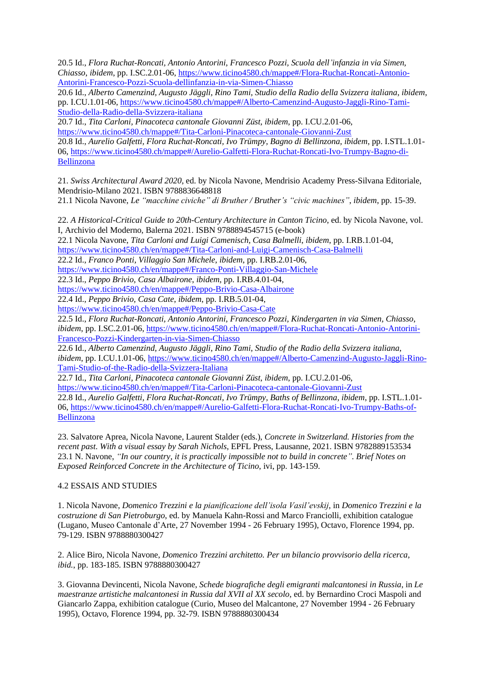20.5 Id., *Flora Ruchat-Roncati, Antonio Antorini, Francesco Pozzi, Scuola dell'infanzia in via Simen, Chiasso*, *ibidem*, pp. I.SC.2.01-06, [https://www.ticino4580.ch/mappe#/Flora-Ruchat-Roncati-Antonio-](https://www.ticino4580.ch/mappe#/Flora-Ruchat-Roncati-Antonio-Antorini-Francesco-Pozzi-Scuola-dellinfanzia-in-via-Simen-Chiasso)[Antorini-Francesco-Pozzi-Scuola-dellinfanzia-in-via-Simen-Chiasso](https://www.ticino4580.ch/mappe#/Flora-Ruchat-Roncati-Antonio-Antorini-Francesco-Pozzi-Scuola-dellinfanzia-in-via-Simen-Chiasso)

20.6 Id., *Alberto Camenzind, Augusto Jäggli, Rino Tami, Studio della Radio della Svizzera italiana*, *ibidem*, pp. I.CU.1.01-06[, https://www.ticino4580.ch/mappe#/Alberto-Camenzind-Augusto-Jaggli-Rino-Tami-](https://www.ticino4580.ch/mappe#/Alberto-Camenzind-Augusto-Jaggli-Rino-Tami-Studio-della-Radio-della-Svizzera-italiana)[Studio-della-Radio-della-Svizzera-italiana](https://www.ticino4580.ch/mappe#/Alberto-Camenzind-Augusto-Jaggli-Rino-Tami-Studio-della-Radio-della-Svizzera-italiana)

20.7 Id., *Tita Carloni, Pinacoteca cantonale Giovanni Züst*, *ibidem*, pp. I.CU.2.01-06, <https://www.ticino4580.ch/mappe#/Tita-Carloni-Pinacoteca-cantonale-Giovanni-Zust> 20.8 Id., *Aurelio Galfetti, Flora Ruchat-Roncati, Ivo Trümpy, Bagno di Bellinzona, ibidem*, pp. I.STL.1.01- 06[, https://www.ticino4580.ch/mappe#/Aurelio-Galfetti-Flora-Ruchat-Roncati-Ivo-Trumpy-Bagno-di-](https://www.ticino4580.ch/mappe#/Aurelio-Galfetti-Flora-Ruchat-Roncati-Ivo-Trumpy-Bagno-di-Bellinzona)[Bellinzona](https://www.ticino4580.ch/mappe#/Aurelio-Galfetti-Flora-Ruchat-Roncati-Ivo-Trumpy-Bagno-di-Bellinzona)

21. *Swiss Architectural Award 2020*, ed. by Nicola Navone, Mendrisio Academy Press-Silvana Editoriale, Mendrisio-Milano 2021. ISBN 9788836648818

21.1 Nicola Navone, *Le "macchine civiche" di Bruther / Bruther's "civic machines"*, *ibidem*, pp. 15-39.

22. *A Historical-Critical Guide to 20th-Century Architecture in Canton Ticino*, ed. by Nicola Navone, vol. I, Archivio del Moderno, Balerna 2021. ISBN 9788894545715 (e-book)

22.1 Nicola Navone, *Tita Carloni and Luigi Camenisch, Casa Balmelli*, *ibidem*, pp. I.RB.1.01-04, <https://www.ticino4580.ch/en/mappe#/Tita-Carloni-and-Luigi-Camenisch-Casa-Balmelli>

22.2 Id., *Franco Ponti, Villaggio San Michele*, *ibidem*, pp. I.RB.2.01-06,

<https://www.ticino4580.ch/en/mappe#/Franco-Ponti-Villaggio-San-Michele>

22.3 Id., *Peppo Brivio, Casa Albairone*, *ibidem*, pp. I.RB.4.01-04,

<https://www.ticino4580.ch/en/mappe#/Peppo-Brivio-Casa-Albairone>

22.4 Id., *Peppo Brivio, Casa Cate*, *ibidem*, pp. I.RB.5.01-04,

<https://www.ticino4580.ch/en/mappe#/Peppo-Brivio-Casa-Cate>

22.5 Id., *Flora Ruchat-Roncati, Antonio Antorini, Francesco Pozzi, Kindergarten in via Simen, Chiasso*, *ibidem*, pp. I.SC.2.01-06, [https://www.ticino4580.ch/en/mappe#/Flora-Ruchat-Roncati-Antonio-Antorini-](https://www.ticino4580.ch/en/mappe#/Flora-Ruchat-Roncati-Antonio-Antorini-Francesco-Pozzi-Kindergarten-in-via-Simen-Chiasso)[Francesco-Pozzi-Kindergarten-in-via-Simen-Chiasso](https://www.ticino4580.ch/en/mappe#/Flora-Ruchat-Roncati-Antonio-Antorini-Francesco-Pozzi-Kindergarten-in-via-Simen-Chiasso)

22.6 Id., *Alberto Camenzind, Augusto Jäggli, Rino Tami, Studio of the Radio della Svizzera italiana*, *ibidem*, pp. I.CU.1.01-06, [https://www.ticino4580.ch/en/mappe#/Alberto-Camenzind-Augusto-Jaggli-Rino-](https://www.ticino4580.ch/en/mappe#/Alberto-Camenzind-Augusto-Jaggli-Rino-Tami-Studio-of-the-Radio-della-Svizzera-Italiana)[Tami-Studio-of-the-Radio-della-Svizzera-Italiana](https://www.ticino4580.ch/en/mappe#/Alberto-Camenzind-Augusto-Jaggli-Rino-Tami-Studio-of-the-Radio-della-Svizzera-Italiana)

22.7 Id., *Tita Carloni, Pinacoteca cantonale Giovanni Züst*, *ibidem*, pp. I.CU.2.01-06,

<https://www.ticino4580.ch/en/mappe#/Tita-Carloni-Pinacoteca-cantonale-Giovanni-Zust>

22.8 Id., *Aurelio Galfetti, Flora Ruchat-Roncati, Ivo Trümpy, Baths of Bellinzona, ibidem*, pp. I.STL.1.01- 06[, https://www.ticino4580.ch/en/mappe#/Aurelio-Galfetti-Flora-Ruchat-Roncati-Ivo-Trumpy-Baths-of-](https://www.ticino4580.ch/en/mappe#/Aurelio-Galfetti-Flora-Ruchat-Roncati-Ivo-Trumpy-Baths-of-Bellinzona)[Bellinzona](https://www.ticino4580.ch/en/mappe#/Aurelio-Galfetti-Flora-Ruchat-Roncati-Ivo-Trumpy-Baths-of-Bellinzona)

23. Salvatore Aprea, Nicola Navone, Laurent Stalder (eds.), *Concrete in Switzerland. Histories from the recent past*. *With a visual essay by Sarah Nichols*, EPFL Press, Lausanne, 2021. ISBN 9782889153534 23.1 N. Navone, *"In our country, it is practically impossible not to build in concrete". Brief Notes on Exposed Reinforced Concrete in the Architecture of Ticino*, ivi, pp. 143-159.

## 4.2 ESSAIS AND STUDIES

1. Nicola Navone, *Domenico Trezzini e la pianificazione dell'isola Vasil'evskij*, in *Domenico Trezzini e la costruzione di San Pietroburgo*, ed. by Manuela Kahn-Rossi and Marco Franciolli, exhibition catalogue (Lugano, Museo Cantonale d'Arte, 27 November 1994 - 26 February 1995), Octavo, Florence 1994, pp. 79-129. ISBN 9788880300427

2. Alice Biro, Nicola Navone, *Domenico Trezzini architetto. Per un bilancio provvisorio della ricerca*, *ibid.*, pp. 183-185. ISBN 9788880300427

3. Giovanna Devincenti, Nicola Navone, *Schede biografiche degli emigranti malcantonesi in Russia*, in *Le maestranze artistiche malcantonesi in Russia dal XVII al XX secolo*, ed. by Bernardino Croci Maspoli and Giancarlo Zappa, exhibition catalogue (Curio, Museo del Malcantone, 27 November 1994 - 26 February 1995), Octavo, Florence 1994, pp. 32-79. ISBN 9788880300434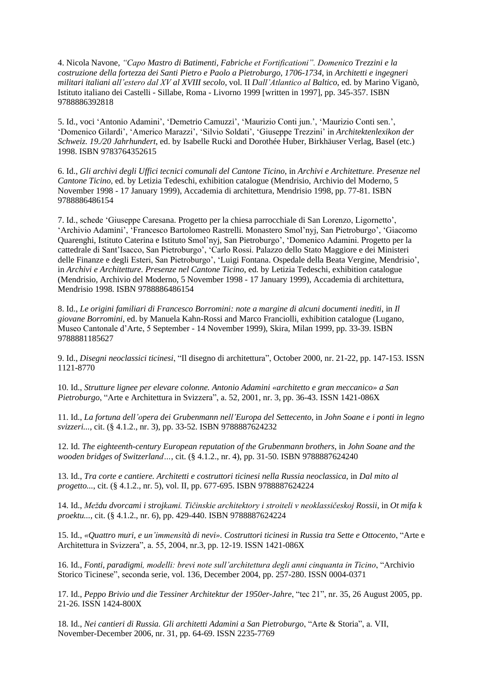4. Nicola Navone, *"Capo Mastro di Batimenti, Fabriche et Fortificationi". Domenico Trezzini e la costruzione della fortezza dei Santi Pietro e Paolo a Pietroburgo, 1706-1734*, in *Architetti e ingegneri militari italiani all'estero dal XV al XVIII secolo*, vol. II *Dall'Atlantico al Baltico*, ed. by Marino Viganò, Istituto italiano dei Castelli - Sillabe, Roma - Livorno 1999 [written in 1997], pp. 345-357. ISBN 9788886392818

5. Id., voci 'Antonio Adamini', 'Demetrio Camuzzi', 'Maurizio Conti jun.', 'Maurizio Conti sen.', 'Domenico Gilardi', 'Americo Marazzi', 'Silvio Soldati', 'Giuseppe Trezzini' in *Architektenlexikon der Schweiz. 19./20 Jahrhundert*, ed. by Isabelle Rucki and Dorothée Huber, Birkhäuser Verlag, Basel (etc.) 1998. ISBN 9783764352615

6. Id., *Gli archivi degli Uffici tecnici comunali del Cantone Ticino*, in *Archivi e Architetture. Presenze nel Cantone Ticino*, ed. by Letizia Tedeschi, exhibition catalogue (Mendrisio, Archivio del Moderno, 5 November 1998 - 17 January 1999), Accademia di architettura, Mendrisio 1998, pp. 77-81. ISBN 9788886486154

7. Id., schede 'Giuseppe Caresana. Progetto per la chiesa parrocchiale di San Lorenzo, Ligornetto', 'Archivio Adamini', 'Francesco Bartolomeo Rastrelli. Monastero Smol'nyj, San Pietroburgo', 'Giacomo Quarenghi, Istituto Caterina e Istituto Smol'nyj, San Pietroburgo', 'Domenico Adamini. Progetto per la cattedrale di Sant'Isacco, San Pietroburgo', 'Carlo Rossi. Palazzo dello Stato Maggiore e dei Ministeri delle Finanze e degli Esteri, San Pietroburgo', 'Luigi Fontana. Ospedale della Beata Vergine, Mendrisio', in *Archivi e Architetture. Presenze nel Cantone Ticino*, ed. by Letizia Tedeschi, exhibition catalogue (Mendrisio, Archivio del Moderno, 5 November 1998 - 17 January 1999), Accademia di architettura, Mendrisio 1998. ISBN 9788886486154

8. Id., *Le origini familiari di Francesco Borromini: note a margine di alcuni documenti inediti*, in *Il giovane Borromini*, ed. by Manuela Kahn-Rossi and Marco Franciolli, exhibition catalogue (Lugano, Museo Cantonale d'Arte, 5 September - 14 November 1999), Skira, Milan 1999, pp. 33-39. ISBN 9788881185627

9. Id., *Disegni neoclassici ticinesi*, "Il disegno di architettura", October 2000, nr. 21-22, pp. 147-153. ISSN 1121-8770

10. Id., *Strutture lignee per elevare colonne. Antonio Adamini «architetto e gran meccanico» a San Pietroburgo*, "Arte e Architettura in Svizzera", a. 52, 2001, nr. 3, pp. 36-43. ISSN 1421-086X

11. Id., *La fortuna dell'opera dei Grubenmann nell'Europa del Settecento*, in *John Soane e i ponti in legno svizzeri...*, cit. (§ 4.1.2., nr. 3), pp. 33-52. ISBN 9788887624232

12. Id. *The eighteenth-century European reputation of the Grubenmann brothers*, in *John Soane and the wooden bridges of Switzerland…*, cit. (§ 4.1.2., nr. 4), pp. 31-50. ISBN 9788887624240

13. Id., *Tra corte e cantiere. Architetti e costruttori ticinesi nella Russia neoclassica*, in *Dal mito al progetto..., cit.* (§ 4.1.2., nr. 5), vol. II, pp. 677-695. ISBN 9788887624224

14. Id., *Meždu dvorcami i strojkami. Tičinskie architektory i stroiteli v neoklassičeskoj Rossii*, in *Ot mifa k proektu...*, cit. (§ 4.1.2., nr. 6), pp. 429-440. ISBN 9788887624224

15. Id., *«Quattro muri, e un'immensità di nevi». Costruttori ticinesi in Russia tra Sette e Ottocento*, "Arte e Architettura in Svizzera", a. 55, 2004, nr.3, pp. 12-19. ISSN 1421-086X

16. Id., *Fonti, paradigmi, modelli: brevi note sull'architettura degli anni cinquanta in Ticino*, "Archivio Storico Ticinese", seconda serie, vol. 136, December 2004, pp. 257-280. ISSN 0004-0371

17. Id., *Peppo Brivio und die Tessiner Architektur der 1950er-Jahre*, "tec 21", nr. 35, 26 August 2005, pp. 21-26. ISSN 1424-800X

18. Id., *Nei cantieri di Russia. Gli architetti Adamini a San Pietroburgo*, "Arte & Storia", a. VII, November-December 2006, nr. 31, pp. 64-69. ISSN 2235-7769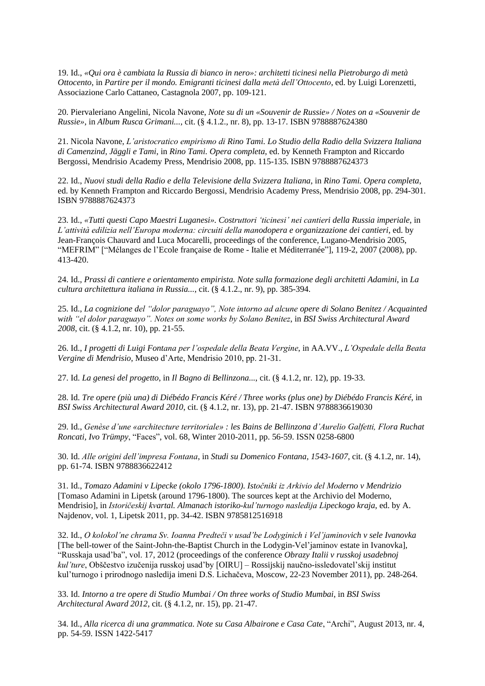19. Id., *«Qui ora è cambiata la Russia di bianco in nero»: architetti ticinesi nella Pietroburgo di metà Ottocento*, in *Partire per il mondo. Emigranti ticinesi dalla metà dell'Ottocento*, ed. by Luigi Lorenzetti, Associazione Carlo Cattaneo, Castagnola 2007, pp. 109-121.

20. Piervaleriano Angelini, Nicola Navone, *Note su di un «Souvenir de Russie» / Notes on a «Souvenir de Russie»*, in *Album Rusca Grimani...*, cit. (§ 4.1.2., nr. 8), pp. 13-17. ISBN 9788887624380

21. Nicola Navone, *L'aristocratico empirismo di Rino Tami. Lo Studio della Radio della Svizzera Italiana di Camenzind, Jäggli e Tami*, in *Rino Tami. Opera completa*, ed. by Kenneth Frampton and Riccardo Bergossi, Mendrisio Academy Press, Mendrisio 2008, pp. 115-135. ISBN 9788887624373

22. Id., *Nuovi studi della Radio e della Televisione della Svizzera Italiana*, in *Rino Tami. Opera completa*, ed. by Kenneth Frampton and Riccardo Bergossi, Mendrisio Academy Press, Mendrisio 2008, pp. 294-301. ISBN 9788887624373

23. Id., *«Tutti questi Capo Maestri Luganesi». Costruttori 'ticinesi' nei cantieri della Russia imperiale*, in *L'attività edilizia nell'Europa moderna: circuiti della manodopera e organizzazione dei cantieri*, ed. by Jean-François Chauvard and Luca Mocarelli, proceedings of the conference, Lugano-Mendrisio 2005, "MEFRIM" ["Mélanges de l'Ecole française de Rome - Italie et Méditerranée"], 119-2, 2007 (2008), pp. 413-420.

24. Id., *Prassi di cantiere e orientamento empirista. Note sulla formazione degli architetti Adamini*, in *La cultura architettura italiana in Russia...*, cit. (§ 4.1.2., nr. 9), pp. 385-394.

25. Id., *La cognizione del "dolor paraguayo", Note intorno ad alcune opere di Solano Benitez / Acquainted with "el dolor paraguayo". Notes on some works by Solano Benitez*, in *BSI Swiss Architectural Award 2008*, cit. (§ 4.1.2, nr. 10), pp. 21-55.

26. Id., *I progetti di Luigi Fontana per l'ospedale della Beata Vergine*, in AA.VV., *L'Ospedale della Beata Vergine di Mendrisio*, Museo d'Arte, Mendrisio 2010, pp. 21-31.

27. Id. *La genesi del progetto*, in *Il Bagno di Bellinzona...*, cit. (§ 4.1.2, nr. 12), pp. 19-33.

28. Id. *Tre opere (più una) di Diébédo Francis Kéré / Three works (plus one) by Diébédo Francis Kéré*, in *BSI Swiss Architectural Award 2010*, cit. (§ 4.1.2, nr. 13), pp. 21-47. ISBN 9788836619030

29. Id., *Genèse d'une «architecture territoriale» : les Bains de Bellinzona d'Aurelio Galfetti, Flora Ruchat Roncati, Ivo Trümpy*, "Faces", vol. 68, Winter 2010-2011, pp. 56-59. ISSN 0258-6800

30. Id. *Alle origini dell'impresa Fontana*, in *Studi su Domenico Fontana, 1543-1607*, cit. (§ 4.1.2, nr. 14), pp. 61-74. ISBN 9788836622412

31. Id., *Tomazo Adamini v Lipecke (okolo 1796-1800). Istočniki iz Arkivio del Moderno v Mendrizio*  [Tomaso Adamini in Lipetsk (around 1796-1800). The sources kept at the Archivio del Moderno, Mendrisio], in *Istoričeskij kvartal. Almanach istoriko-kul'turnogo nasledija Lipeckogo kraja*, ed. by A. Najdenov, vol. 1, Lipetsk 2011, pp. 34-42. ISBN 9785812516918

32. Id., *O kolokol'ne chrama Sv. Ioanna Predteči v usad'be Lodyginich i Vel'jaminovich v sele Ivanovka*  [The bell-tower of the Saint-John-the-Baptist Church in the Lodygin-Vel'jaminov estate in Ivanovka], "Russkaja usad'ba", vol. 17, 2012 (proceedings of the conference *Obrazy Italii v russkoj usadebnoj kul'ture*, Obščestvo izučenija russkoj usad'by [OIRU] – Rossijskij naučno-issledovatel'skij institut kul'turnogo i prirodnogo nasledija imeni D.S. Lichačeva, Moscow, 22-23 November 2011), pp. 248-264.

33. Id. *Intorno a tre opere di Studio Mumbai / On three works of Studio Mumbai*, in *BSI Swiss Architectural Award 2012*, cit. (§ 4.1.2, nr. 15), pp. 21-47.

34. Id., *Alla ricerca di una grammatica. Note su Casa Albairone e Casa Cate*, "Archi", August 2013, nr. 4, pp. 54-59. ISSN 1422-5417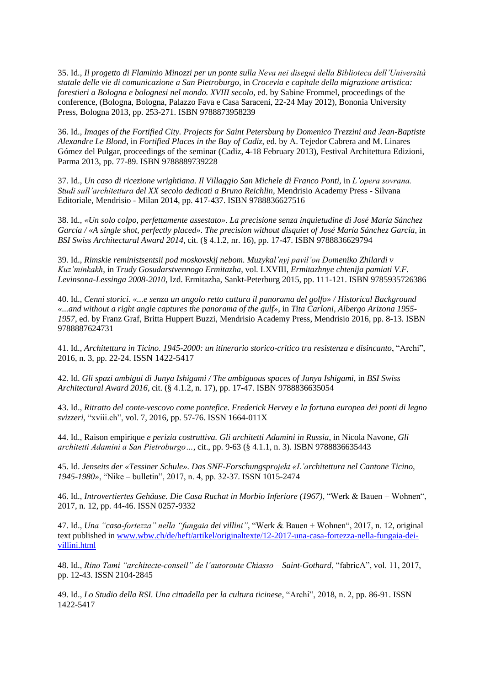35. Id., *Il progetto di Flaminio Minozzi per un ponte sulla Neva nei disegni della Biblioteca dell'Università statale delle vie di comunicazione a San Pietroburgo*, in *Crocevia e capitale della migrazione artistica: forestieri a Bologna e bolognesi nel mondo. XVIII secolo*, ed. by Sabine Frommel, proceedings of the conference, (Bologna, Bologna, Palazzo Fava e Casa Saraceni, 22-24 May 2012), Bononia University Press, Bologna 2013, pp. 253-271. ISBN 9788873958239

36. Id., *Images of the Fortified City. Projects for Saint Petersburg by Domenico Trezzini and Jean-Baptiste Alexandre Le Blond*, in *Fortified Places in the Bay of Cadiz*, ed. by A. Tejedor Cabrera and M. Linares Gómez del Pulgar, proceedings of the seminar (Cadiz, 4-18 February 2013), Festival Architettura Edizioni, Parma 2013, pp. 77-89. ISBN 9788889739228

37. Id., *Un caso di ricezione wrightiana. Il Villaggio San Michele di Franco Ponti*, in *L'opera sovrana. Studi sull'architettura del XX secolo dedicati a Bruno Reichlin*, Mendrisio Academy Press - Silvana Editoriale, Mendrisio - Milan 2014, pp. 417-437. ISBN 9788836627516

38. Id., *«Un solo colpo, perfettamente assestato». La precisione senza inquietudine di José María Sánchez García / «A single shot, perfectly placed». The precision without disquiet of José María Sánchez García*, in *BSI Swiss Architectural Award 2014*, cit. (§ 4.1.2, nr. 16), pp. 17-47. ISBN 9788836629794

39. Id., *Rimskie reministsentsii pod moskovskij nebom. Muzykal'nyj pavil'on Domeniko Zhilardi v Kuz'minkakh*, in *Trudy Gosudarstvennogo Ermitazha*, vol. LXVIII, *Ermitazhnye chtenija pamiati V.F. Levinsona-Lessinga 2008-2010*, Izd. Ermitazha, Sankt-Peterburg 2015, pp. 111-121. ISBN 9785935726386

40. Id., *Cenni storici. «...e senza un angolo retto cattura il panorama del golfo» / Historical Background «...and without a right angle captures the panorama of the gulf»*, in *Tita Carloni, Albergo Arizona 1955- 1957*, ed. by Franz Graf, Britta Huppert Buzzi, Mendrisio Academy Press, Mendrisio 2016, pp. 8-13. ISBN 9788887624731

41. Id., *Architettura in Ticino. 1945-2000: un itinerario storico-critico tra resistenza e disincanto*, "Archi", 2016, n. 3, pp. 22-24. ISSN 1422-5417

42. Id. *Gli spazi ambigui di Junya Ishigami / The ambiguous spaces of Junya Ishigami*, in *BSI Swiss Architectural Award 2016*, cit. (§ 4.1.2, n. 17), pp. 17-47. ISBN 9788836635054

43. Id., *Ritratto del conte-vescovo come pontefice. Frederick Hervey e la fortuna europea dei ponti di legno svizzeri*, "xviii.ch", vol. 7, 2016, pp. 57-76. ISSN 1664-011X

44. Id., Raison empirique *e perizia costruttiva. Gli architetti Adamini in Russia*, in Nicola Navone, *Gli architetti Adamini a San Pietroburgo…*, cit., pp. 9-63 (§ 4.1.1, n. 3). ISBN 9788836635443

45. Id. *Jenseits der «Tessiner Schule». Das SNF-Forschungsprojekt «L'architettura nel Cantone Ticino, 1945-1980»*, "Nike – bulletin", 2017, n. 4, pp. 32-37. ISSN 1015-2474

46. Id., *Introvertiertes Gehäuse. Die Casa Ruchat in Morbio Inferiore (1967)*, "Werk & Bauen + Wohnen", 2017, n. 12, pp. 44-46. ISSN 0257-9332

47. Id., *Una "casa-fortezza" nella "fungaia dei villini"*, "Werk & Bauen + Wohnen", 2017, n. 12, original text published i[n www.wbw.ch/de/heft/artikel/originaltexte/12-2017-una-casa-fortezza-nella-fungaia-dei](http://www.wbw.ch/de/heft/artikel/originaltexte/12-2017-una-casa-fortezza-nella-fungaia-dei-villini.html)[villini.html](http://www.wbw.ch/de/heft/artikel/originaltexte/12-2017-una-casa-fortezza-nella-fungaia-dei-villini.html)

48. Id., *Rino Tami "architecte-conseil" de l'autoroute Chiasso – Saint-Gothard*, "fabricA", vol. 11, 2017, pp. 12-43. ISSN 2104-2845

49. Id., *Lo Studio della RSI. Una cittadella per la cultura ticinese*, "Archi", 2018, n. 2, pp. 86-91. ISSN 1422-5417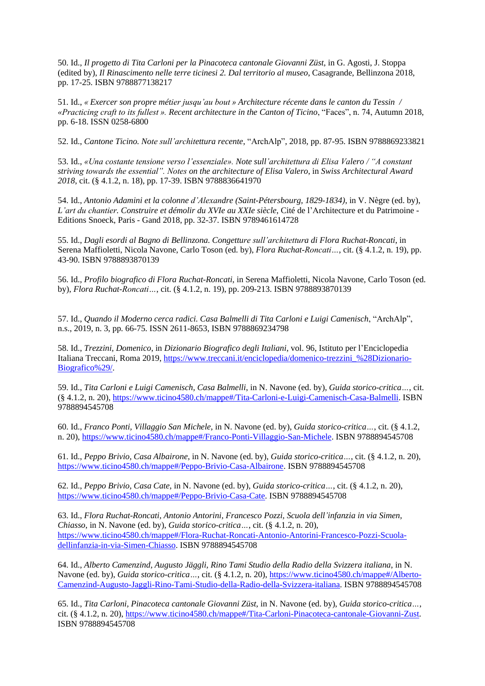50. Id., *Il progetto di Tita Carloni per la Pinacoteca cantonale Giovanni Züst*, in G. Agosti, J. Stoppa (edited by), *Il Rinascimento nelle terre ticinesi 2. Dal territorio al museo*, Casagrande, Bellinzona 2018, pp. 17-25. ISBN 9788877138217

51. Id., *« Exercer son propre métier jusqu'au bout » Architecture récente dans le canton du Tessin / «Practicing craft to its fullest ». Recent architecture in the Canton of Ticino*, "Faces", n. 74, Autumn 2018, pp. 6-18. ISSN 0258-6800

52. Id., *Cantone Ticino. Note sull'architettura recente*, "ArchAlp", 2018, pp. 87-95. ISBN 9788869233821

53. Id., *«Una costante tensione verso l'essenziale». Note sull'architettura di Elisa Valero / "A constant striving towards the essential". Notes on the architecture of Elisa Valero*, in *Swiss Architectural Award 2018*, cit. (§ 4.1.2, n. 18), pp. 17-39. ISBN 9788836641970

54. Id., *Antonio Adamini et la colonne d'Alexandre (Saint-Pétersbourg, 1829-1834)*, in V. Nègre (ed. by), *L'art du chantier. Construire et démolir du XVIe au XXIe siècle*, Cité de l'Architecture et du Patrimoine - Editions Snoeck, Paris - Gand 2018, pp. 32-37. ISBN 9789461614728

55. Id., *Dagli esordi al Bagno di Bellinzona. Congetture sull'architettura di Flora Ruchat-Roncati*, in Serena Maffioletti, Nicola Navone, Carlo Toson (ed. by), *Flora Ruchat-Roncati…*, cit. (§ 4.1.2, n. 19), pp. 43-90. ISBN 9788893870139

56. Id., *Profilo biografico di Flora Ruchat-Roncati*, in Serena Maffioletti, Nicola Navone, Carlo Toson (ed. by), *Flora Ruchat-Roncati…*, cit. (§ 4.1.2, n. 19), pp. 209-213. ISBN 9788893870139

57. Id., *Quando il Moderno cerca radici. Casa Balmelli di Tita Carloni e Luigi Camenisch*, "ArchAlp", n.s., 2019, n. 3, pp. 66-75. ISSN 2611-8653, ISBN 9788869234798

58. Id., *Trezzini, Domenico*, in *Dizionario Biografico degli Italiani*, vol. 96, Istituto per l'Enciclopedia Italiana Treccani, Roma 2019, [https://www.treccani.it/enciclopedia/domenico-trezzini\\_%28Dizionario-](https://www.treccani.it/enciclopedia/domenico-trezzini_%28Dizionario-Biografico%29/)[Biografico%29/.](https://www.treccani.it/enciclopedia/domenico-trezzini_%28Dizionario-Biografico%29/)

59. Id., *Tita Carloni e Luigi Camenisch, Casa Balmelli*, in N. Navone (ed. by), *Guida storico-critica…*, cit. (§ 4.1.2, n. 20), [https://www.ticino4580.ch/mappe#/Tita-Carloni-e-Luigi-Camenisch-Casa-Balmelli.](https://www.ticino4580.ch/mappe#/Tita-Carloni-e-Luigi-Camenisch-Casa-Balmelli) ISBN 9788894545708

60. Id., *Franco Ponti, Villaggio San Michele*, in N. Navone (ed. by), *Guida storico-critica…*, cit. (§ 4.1.2, n. 20), [https://www.ticino4580.ch/mappe#/Franco-Ponti-Villaggio-San-Michele.](https://www.ticino4580.ch/mappe#/Franco-Ponti-Villaggio-San-Michele) ISBN 9788894545708

61. Id., *Peppo Brivio, Casa Albairone*, in N. Navone (ed. by), *Guida storico-critica…*, cit. (§ 4.1.2, n. 20), [https://www.ticino4580.ch/mappe#/Peppo-Brivio-Casa-Albairone.](https://www.ticino4580.ch/mappe#/Peppo-Brivio-Casa-Albairone) ISBN 9788894545708

62. Id., *Peppo Brivio, Casa Cate*, in N. Navone (ed. by), *Guida storico-critica…*, cit. (§ 4.1.2, n. 20), [https://www.ticino4580.ch/mappe#/Peppo-Brivio-Casa-Cate.](https://www.ticino4580.ch/mappe#/Peppo-Brivio-Casa-Cate) ISBN 9788894545708

63. Id., *Flora Ruchat-Roncati, Antonio Antorini, Francesco Pozzi, Scuola dell'infanzia in via Simen, Chiasso*, in N. Navone (ed. by), *Guida storico-critica…*, cit. (§ 4.1.2, n. 20), [https://www.ticino4580.ch/mappe#/Flora-Ruchat-Roncati-Antonio-Antorini-Francesco-Pozzi-Scuola](https://www.ticino4580.ch/mappe#/Flora-Ruchat-Roncati-Antonio-Antorini-Francesco-Pozzi-Scuola-dellinfanzia-in-via-Simen-Chiasso)[dellinfanzia-in-via-Simen-Chiasso.](https://www.ticino4580.ch/mappe#/Flora-Ruchat-Roncati-Antonio-Antorini-Francesco-Pozzi-Scuola-dellinfanzia-in-via-Simen-Chiasso) ISBN 9788894545708

64. Id., *Alberto Camenzind, Augusto Jäggli, Rino Tami Studio della Radio della Svizzera italiana*, in N. Navone (ed. by), *Guida storico-critica* ..., cit. (§ 4.1.2, n. 20)[, https://www.ticino4580.ch/mappe#/Alberto-](https://www.ticino4580.ch/mappe#/Alberto-Camenzind-Augusto-Jaggli-Rino-Tami-Studio-della-Radio-della-Svizzera-italiana)[Camenzind-Augusto-Jaggli-Rino-Tami-Studio-della-Radio-della-Svizzera-italiana.](https://www.ticino4580.ch/mappe#/Alberto-Camenzind-Augusto-Jaggli-Rino-Tami-Studio-della-Radio-della-Svizzera-italiana) ISBN 9788894545708

65. Id., *Tita Carloni, Pinacoteca cantonale Giovanni Züst*, in N. Navone (ed. by), *Guida storico-critica…*, cit. (§ 4.1.2, n. 20), [https://www.ticino4580.ch/mappe#/Tita-Carloni-Pinacoteca-cantonale-Giovanni-Zust.](https://www.ticino4580.ch/mappe#/Tita-Carloni-Pinacoteca-cantonale-Giovanni-Zust) ISBN 9788894545708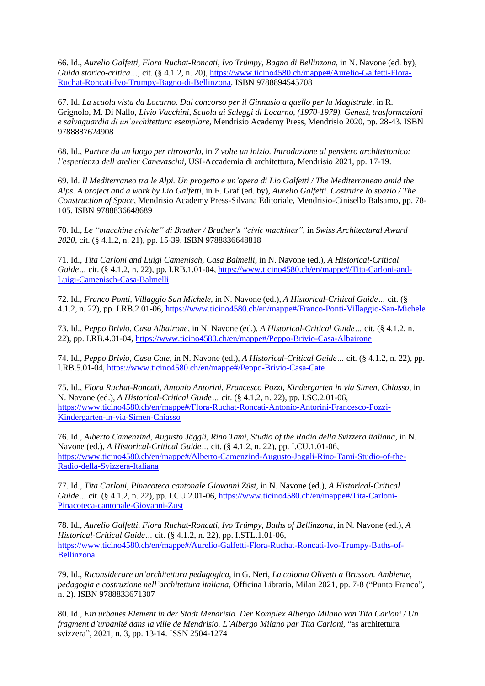66. Id., *Aurelio Galfetti, Flora Ruchat-Roncati, Ivo Trümpy, Bagno di Bellinzona,* in N. Navone (ed. by), *Guida storico-critica…*, cit. (§ 4.1.2, n. 20)[, https://www.ticino4580.ch/mappe#/Aurelio-Galfetti-Flora-](https://www.ticino4580.ch/mappe#/Aurelio-Galfetti-Flora-Ruchat-Roncati-Ivo-Trumpy-Bagno-di-Bellinzona)[Ruchat-Roncati-Ivo-Trumpy-Bagno-di-Bellinzona.](https://www.ticino4580.ch/mappe#/Aurelio-Galfetti-Flora-Ruchat-Roncati-Ivo-Trumpy-Bagno-di-Bellinzona) ISBN 9788894545708

67. Id. *La scuola vista da Locarno. Dal concorso per il Ginnasio a quello per la Magistrale*, in R. Grignolo, M. Di Nallo, *Livio Vacchini, Scuola ai Saleggi di Locarno, (1970-1979). Genesi, trasformazioni e salvaguardia di un'architettura esemplare*, Mendrisio Academy Press, Mendrisio 2020, pp. 28-43. ISBN 9788887624908

68. Id., *Partire da un luogo per ritrovarlo*, in *7 volte un inizio. Introduzione al pensiero architettonico: l'esperienza dell'atelier Canevascini*, USI-Accademia di architettura, Mendrisio 2021, pp. 17-19.

69. Id. *Il Mediterraneo tra le Alpi. Un progetto e un'opera di Lio Galfetti / The Mediterranean amid the Alps. A project and a work by Lio Galfetti*, in F. Graf (ed. by), *Aurelio Galfetti. Costruire lo spazio / The Construction of Space*, Mendrisio Academy Press-Silvana Editoriale, Mendrisio-Cinisello Balsamo, pp. 78- 105. ISBN 9788836648689

70. Id., *Le "macchine civiche" di Bruther / Bruther's "civic machines"*, in *Swiss Architectural Award 2020*, cit. (§ 4.1.2, n. 21), pp. 15-39. ISBN 9788836648818

71. Id., *Tita Carloni and Luigi Camenisch, Casa Balmelli*, in N. Navone (ed.), *A Historical-Critical Guide* ... cit. (§ 4.1.2, n. 22), pp. I.RB.1.01-04, [https://www.ticino4580.ch/en/mappe#/Tita-Carloni-and-](https://www.ticino4580.ch/en/mappe#/Tita-Carloni-and-Luigi-Camenisch-Casa-Balmelli)[Luigi-Camenisch-Casa-Balmelli](https://www.ticino4580.ch/en/mappe#/Tita-Carloni-and-Luigi-Camenisch-Casa-Balmelli)

72. Id., *Franco Ponti, Villaggio San Michele*, in N. Navone (ed.), *A Historical-Critical Guide…* cit. (§ 4.1.2, n. 22), pp. I.RB.2.01-06, <https://www.ticino4580.ch/en/mappe#/Franco-Ponti-Villaggio-San-Michele>

73. Id., *Peppo Brivio, Casa Albairone*, in N. Navone (ed.), *A Historical-Critical Guide…* cit. (§ 4.1.2, n. 22), pp. I.RB.4.01-04, <https://www.ticino4580.ch/en/mappe#/Peppo-Brivio-Casa-Albairone>

74. Id., *Peppo Brivio, Casa Cate*, in N. Navone (ed.), *A Historical-Critical Guide…* cit. (§ 4.1.2, n. 22), pp. I.RB.5.01-04, <https://www.ticino4580.ch/en/mappe#/Peppo-Brivio-Casa-Cate>

75. Id., *Flora Ruchat-Roncati, Antonio Antorini, Francesco Pozzi, Kindergarten in via Simen, Chiasso*, in N. Navone (ed.), *A Historical-Critical Guide…* cit. (§ 4.1.2, n. 22), pp. I.SC.2.01-06, [https://www.ticino4580.ch/en/mappe#/Flora-Ruchat-Roncati-Antonio-Antorini-Francesco-Pozzi-](https://www.ticino4580.ch/en/mappe#/Flora-Ruchat-Roncati-Antonio-Antorini-Francesco-Pozzi-Kindergarten-in-via-Simen-Chiasso)[Kindergarten-in-via-Simen-Chiasso](https://www.ticino4580.ch/en/mappe#/Flora-Ruchat-Roncati-Antonio-Antorini-Francesco-Pozzi-Kindergarten-in-via-Simen-Chiasso)

76. Id., *Alberto Camenzind, Augusto Jäggli, Rino Tami, Studio of the Radio della Svizzera italiana*, in N. Navone (ed.), *A Historical-Critical Guide…* cit. (§ 4.1.2, n. 22), pp. I.CU.1.01-06, [https://www.ticino4580.ch/en/mappe#/Alberto-Camenzind-Augusto-Jaggli-Rino-Tami-Studio-of-the-](https://www.ticino4580.ch/en/mappe#/Alberto-Camenzind-Augusto-Jaggli-Rino-Tami-Studio-of-the-Radio-della-Svizzera-Italiana)[Radio-della-Svizzera-Italiana](https://www.ticino4580.ch/en/mappe#/Alberto-Camenzind-Augusto-Jaggli-Rino-Tami-Studio-of-the-Radio-della-Svizzera-Italiana)

77. Id., *Tita Carloni, Pinacoteca cantonale Giovanni Züst*, in N. Navone (ed.), *A Historical-Critical Guide…* cit. (§ 4.1.2, n. 22), pp. I.CU.2.01-06, [https://www.ticino4580.ch/en/mappe#/Tita-Carloni-](https://www.ticino4580.ch/en/mappe#/Tita-Carloni-Pinacoteca-cantonale-Giovanni-Zust)[Pinacoteca-cantonale-Giovanni-Zust](https://www.ticino4580.ch/en/mappe#/Tita-Carloni-Pinacoteca-cantonale-Giovanni-Zust)

78. Id., *Aurelio Galfetti, Flora Ruchat-Roncati, Ivo Trümpy, Baths of Bellinzona,* in N. Navone (ed.), *A Historical-Critical Guide…* cit. (§ 4.1.2, n. 22), pp. I.STL.1.01-06, [https://www.ticino4580.ch/en/mappe#/Aurelio-Galfetti-Flora-Ruchat-Roncati-Ivo-Trumpy-Baths-of-](https://www.ticino4580.ch/en/mappe#/Aurelio-Galfetti-Flora-Ruchat-Roncati-Ivo-Trumpy-Baths-of-Bellinzona)[Bellinzona](https://www.ticino4580.ch/en/mappe#/Aurelio-Galfetti-Flora-Ruchat-Roncati-Ivo-Trumpy-Baths-of-Bellinzona)

79. Id., *Riconsiderare un'architettura pedagogica*, in G. Neri, *La colonia Olivetti a Brusson. Ambiente, pedagogia e costruzione nell'architettura italiana*, Officina Libraria, Milan 2021, pp. 7-8 ("Punto Franco", n. 2). ISBN 9788833671307

80. Id., *Ein urbanes Element in der Stadt Mendrisio. Der Komplex Albergo Milano von Tita Carloni / Un fragment d'urbanité dans la ville de Mendrisio. L'Albergo Milano par Tita Carloni*, "as architettura svizzera", 2021, n. 3, pp. 13-14. ISSN 2504-1274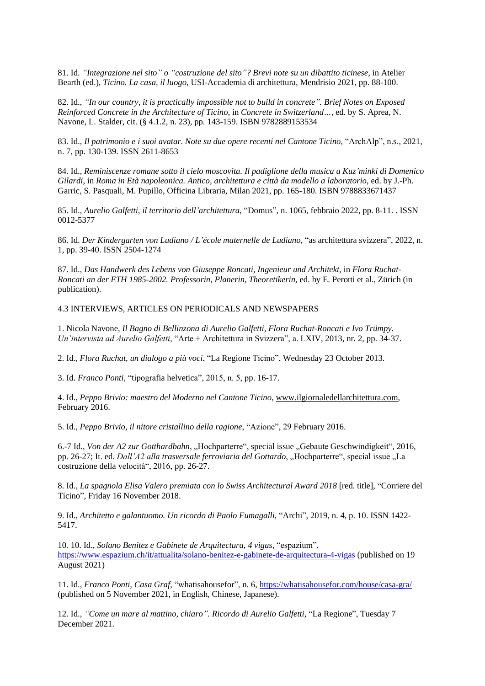81. Id. *"Integrazione nel sito" o "costruzione del sito"? Brevi note su un dibattito ticinese,* in Atelier Bearth (ed.), *Ticino. La casa, il luogo*, USI-Accademia di architettura, Mendrisio 2021, pp. 88-100.

82. Id., *"In our country, it is practically impossible not to build in concrete". Brief Notes on Exposed Reinforced Concrete in the Architecture of Ticino*, in *Concrete in Switzerland…*, ed. by S. Aprea, N. Navone, L. Stalder, cit. (§ 4.1.2, n. 23), pp. 143-159. ISBN 9782889153534

83. Id., *Il patrimonio e i suoi avatar. Note su due opere recenti nel Cantone Ticino*, "ArchAlp", n.s., 2021, n. 7, pp. 130-139. ISSN 2611-8653

84. Id., *Reminiscenze romane sotto il cielo moscovita. Il padiglione della musica a Kuz'minki di Domenico Gilardi*, in *Roma in Età napoleonica. Antico, architettura e città da modello a laboratorio*, ed. by J.-Ph. Garric, S. Pasquali, M. Pupillo, Officina Libraria, Milan 2021, pp. 165-180. ISBN 9788833671437

85. Id., *Aurelio Galfetti, il territorio dell'architettura*, "Domus", n. 1065, febbraio 2022, pp. 8-11. . ISSN 0012-5377

86. Id. *Der Kindergarten von Ludiano / L'école maternelle de Ludiano*, "as architettura svizzera", 2022, n. 1, pp. 39-40. ISSN 2504-1274

87. Id., *Das Handwerk des Lebens von Giuseppe Roncati, Ingenieur und Architekt*, in *Flora Ruchat-Roncati an der ETH 1985-2002. Professorin, Planerin, Theoretikerin*, ed. by E. Perotti et al., Zürich (in publication).

4.3 INTERVIEWS, ARTICLES ON PERIODICALS AND NEWSPAPERS

1. Nicola Navone, *Il Bagno di Bellinzona di Aurelio Galfetti, Flora Ruchat-Roncati e Ivo Trümpy. Un'intervista ad Aurelio Galfetti*, "Arte + Architettura in Svizzera", a. LXIV, 2013, nr. 2, pp. 34-37.

2. Id., *Flora Ruchat, un dialogo a più voci*, "La Regione Ticino", Wednesday 23 October 2013.

3. Id. *Franco Ponti*, "tipografia helvetica", 2015, n. 5, pp. 16-17.

4. Id., *Peppo Brivio: maestro del Moderno nel Cantone Ticino*[, www.ilgiornaledellarchitettura.com,](http://www.ilgiornaledellarchitettura.com/) February 2016.

5. Id., *Peppo Brivio, il nitore cristallino della ragione*, "Azione", 29 February 2016.

6.-7 Id., *Von der A2 zur Gotthardbahn*, "Hochparterre", special issue "Gebaute Geschwindigkeit", 2016, pp. 26-27; It. ed. *Dall'A2 alla trasversale ferroviaria del Gottardo*, "Hochparterre", special issue "La costruzione della velocità", 2016, pp. 26-27.

8. Id., *La spagnola Elisa Valero premiata con lo Swiss Architectural Award 2018* [red. title], "Corriere del Ticino", Friday 16 November 2018.

9. Id., *Architetto e galantuomo. Un ricordo di Paolo Fumagalli*, "Archi", 2019, n. 4, p. 10. ISSN 1422- 5417.

10. 10. Id., *Solano Benitez e Gabinete de Arquitectura, 4 vigas*, "espazium", <https://www.espazium.ch/it/attualita/solano-benitez-e-gabinete-de-arquitectura-4-vigas> (published on 19 August 2021)

11. Id., *Franco Ponti, Casa Graf*, "whatisahousefor", n. 6[, https://whatisahousefor.com/house/casa-gra/](https://whatisahousefor.com/house/casa-gra/) (published on 5 November 2021, in English, Chinese, Japanese).

12. Id., *"Come un mare al mattino, chiaro". Ricordo di Aurelio Galfetti*, "La Regione", Tuesday 7 December 2021.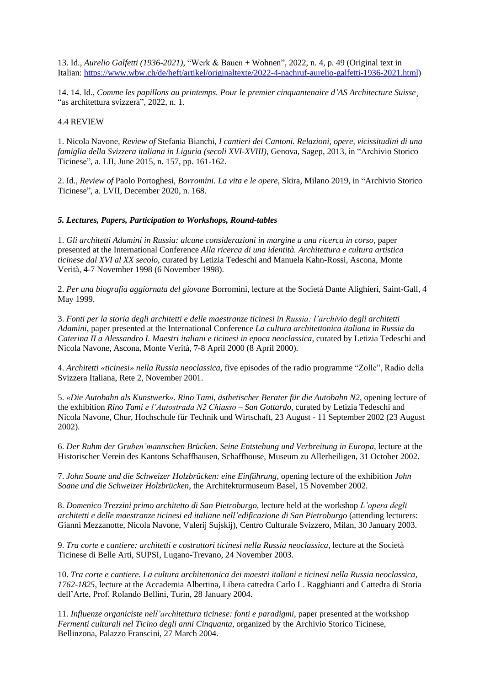13. Id., *Aurelio Galfetti (1936-2021)*, "Werk & Bauen + Wohnen", 2022, n. 4, p. 49 (Original text in Italian: [https://www.wbw.ch/de/heft/artikel/originaltexte/2022-4-nachruf-aurelio-galfetti-1936-2021.html\)](https://www.wbw.ch/de/heft/artikel/originaltexte/2022-4-nachruf-aurelio-galfetti-1936-2021.html)

14. 14. Id., *Comme les papillons au printemps. Pour le premier cinquantenaire d'AS Architecture Suisse*¸ "as architettura svizzera", 2022, n. 1.

### 4.4 REVIEW

1. Nicola Navone, *Review of* Stefania Bianchi, *I cantieri dei Cantoni. Relazioni, opere, vicissitudini di una famiglia della Svizzera italiana in Liguria (secoli XVI-XVIII)*, Genova, Sagep, 2013, in "Archivio Storico Ticinese", a. LII, June 2015, n. 157, pp. 161-162.

2. Id., *Review of* Paolo Portoghesi, *Borromini. La vita e le opere*, Skira, Milano 2019, in "Archivio Storico Ticinese", a. LVII, December 2020, n. 168.

#### *5. Lectures, Papers, Participation to Workshops, Round-tables*

1. *Gli architetti Adamini in Russia: alcune considerazioni in margine a una ricerca in corso*, paper presented at the International Conference *Alla ricerca di una identità. Architettura e cultura artistica ticinese dal XVI al XX secolo*, curated by Letizia Tedeschi and Manuela Kahn-Rossi, Ascona, Monte Verità, 4-7 November 1998 (6 November 1998).

2. *Per una biografia aggiornata del giovane* Borromini, lecture at the Società Dante Alighieri, Saint-Gall, 4 May 1999.

3. *Fonti per la storia degli architetti e delle maestranze ticinesi in Russia: l'archivio degli architetti Adamini*, paper presented at the International Conference *La cultura architettonica italiana in Russia da Caterina II a Alessandro I. Maestri italiani e ticinesi in epoca neoclassica*, curated by Letizia Tedeschi and Nicola Navone, Ascona, Monte Verità, 7-8 April 2000 (8 April 2000).

4. *Architetti «ticinesi» nella Russia neoclassica*, five episodes of the radio programme "Zolle", Radio della Svizzera Italiana, Rete 2, November 2001.

5. *«Die Autobahn als Kunstwerk». Rino Tami, ästhetischer Berater für die Autobahn N2*, opening lecture of the exhibition *Rino Tami e l'Autostrada N2 Chiasso – San Gottardo*, curated by Letizia Tedeschi and Nicola Navone, Chur, Hochschule für Technik und Wirtschaft, 23 August - 11 September 2002 (23 August 2002).

6. *Der Ruhm der Gruben'mannschen Brücken. Seine Entstehung und Verbreitung in Europa*, lecture at the Historischer Verein des Kantons Schaffhausen, Schaffhouse, Museum zu Allerheiligen, 31 October 2002.

7. *John Soane und die Schweizer Holzbrücken: eine Einführung*, opening lecture of the exhibition *John Soane und die Schweizer Holzbrücken*, the Architekturmuseum Basel, 15 November 2002.

8. *Domenico Trezzini primo architetto di San Pietroburgo*, lecture held at the workshop *L'opera degli architetti e delle maestranze ticinesi ed italiane nell'edificazione di San Pietroburgo* (attending lecturers: Gianni Mezzanotte, Nicola Navone, Valerij Sujskij), Centro Culturale Svizzero, Milan, 30 January 2003.

9. *Tra corte e cantiere: architetti e costruttori ticinesi nella Russia neoclassica*, lecture at the Società Ticinese di Belle Arti, SUPSI, Lugano-Trevano, 24 November 2003.

10. *Tra corte e cantiere. La cultura architettonica dei maestri italiani e ticinesi nella Russia neoclassica, 1762-1825*, lecture at the Accademia Albertina, Libera cattedra Carlo L. Ragghianti and Cattedra di Storia dell'Arte, Prof. Rolando Bellini, Turin, 28 January 2004.

11. *Influenze organiciste nell'architettura ticinese: fonti e paradigmi*, paper presented at the workshop *Fermenti culturali nel Ticino degli anni Cinquanta*, organized by the Archivio Storico Ticinese, Bellinzona, Palazzo Franscini, 27 March 2004.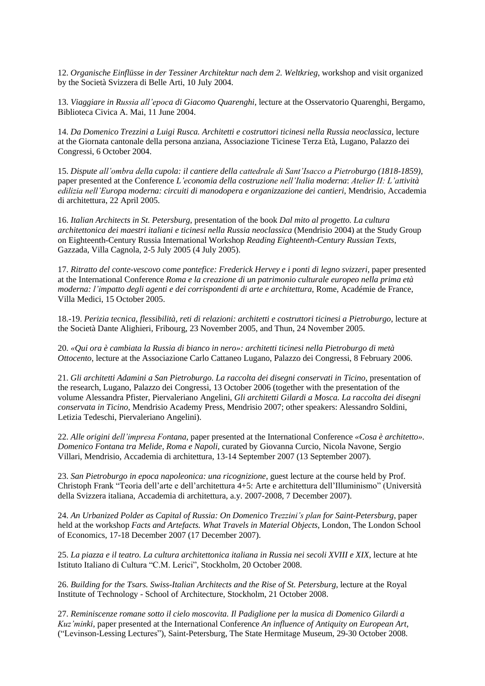12. *Organische Einflüsse in der Tessiner Architektur nach dem 2. Weltkrieg*, workshop and visit organized by the Società Svizzera di Belle Arti, 10 July 2004.

13. *Viaggiare in Russia all'epoca di Giacomo Quarenghi*, lecture at the Osservatorio Quarenghi, Bergamo, Biblioteca Civica A. Mai, 11 June 2004.

14. *Da Domenico Trezzini a Luigi Rusca. Architetti e costruttori ticinesi nella Russia neoclassica*, lecture at the Giornata cantonale della persona anziana, Associazione Ticinese Terza Età, Lugano, Palazzo dei Congressi, 6 October 2004.

15. *Dispute all'ombra della cupola: il cantiere della cattedrale di Sant'Isacco a Pietroburgo (1818-1859)*, paper presented at the Conference *L'economia della costruzione nell'Italia moderna*: *Atelier II: L'attività edilizia nell'Europa moderna: circuiti di manodopera e organizzazione dei cantieri*, Mendrisio, Accademia di architettura, 22 April 2005.

16. *Italian Architects in St. Petersburg*, presentation of the book *Dal mito al progetto. La cultura architettonica dei maestri italiani e ticinesi nella Russia neoclassica* (Mendrisio 2004) at the Study Group on Eighteenth-Century Russia International Workshop *Reading Eighteenth-Century Russian Texts*, Gazzada, Villa Cagnola, 2-5 July 2005 (4 July 2005).

17. *Ritratto del conte-vescovo come pontefice: Frederick Hervey e i ponti di legno svizzeri*, paper presented at the International Conference *Roma e la creazione di un patrimonio culturale europeo nella prima età moderna: l'impatto degli agenti e dei corrispondenti di arte e architettura*, Rome, Académie de France, Villa Medici, 15 October 2005.

18.-19. *Perizia tecnica, flessibilità, reti di relazioni: architetti e costruttori ticinesi a Pietroburgo*, lecture at the Società Dante Alighieri, Fribourg, 23 November 2005, and Thun, 24 November 2005.

20. *«Qui ora è cambiata la Russia di bianco in nero»: architetti ticinesi nella Pietroburgo di metà Ottocento*, lecture at the Associazione Carlo Cattaneo Lugano, Palazzo dei Congressi, 8 February 2006.

21. *Gli architetti Adamini a San Pietroburgo. La raccolta dei disegni conservati in Ticino*, presentation of the research, Lugano, Palazzo dei Congressi, 13 October 2006 (together with the presentation of the volume Alessandra Pfister, Piervaleriano Angelini, *Gli architetti Gilardi a Mosca. La raccolta dei disegni conservata in Ticino*, Mendrisio Academy Press, Mendrisio 2007; other speakers: Alessandro Soldini, Letizia Tedeschi, Piervaleriano Angelini).

22. *Alle origini dell'impresa Fontana*, paper presented at the International Conference *«Cosa è architetto». Domenico Fontana tra Melide, Roma e Napoli*, curated by Giovanna Curcio, Nicola Navone, Sergio Villari, Mendrisio, Accademia di architettura, 13-14 September 2007 (13 September 2007).

23. *San Pietroburgo in epoca napoleonica: una ricognizione*, guest lecture at the course held by Prof. Christoph Frank "Teoria dell'arte e dell'architettura 4+5: Arte e architettura dell'Illuminismo" (Università della Svizzera italiana, Accademia di architettura, a.y. 2007-2008, 7 December 2007).

24. *An Urbanized Polder as Capital of Russia: On Domenico Trezzini's plan for Saint-Petersburg*, paper held at the workshop *Facts and Artefacts. What Travels in Material Objects*, London, The London School of Economics, 17-18 December 2007 (17 December 2007).

25. *La piazza e il teatro. La cultura architettonica italiana in Russia nei secoli XVIII e XIX*, lecture at hte Istituto Italiano di Cultura "C.M. Lerici", Stockholm, 20 October 2008.

26. *Building for the Tsars. Swiss-Italian Architects and the Rise of St. Petersburg*, lecture at the Royal Institute of Technology - School of Architecture, Stockholm, 21 October 2008.

27. *Reminiscenze romane sotto il cielo moscovita. Il Padiglione per la musica di Domenico Gilardi a Kuz'minki*, paper presented at the International Conference *An influence of Antiquity on European Art*, ("Levinson-Lessing Lectures"), Saint-Petersburg, The State Hermitage Museum, 29-30 October 2008.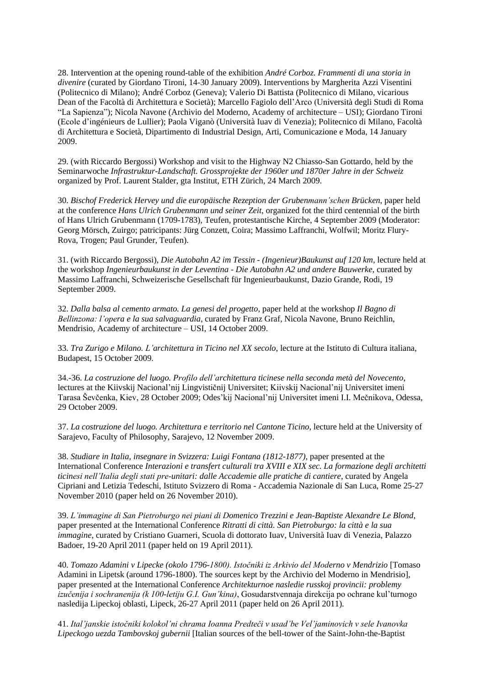28. Intervention at the opening round-table of the exhibition *André Corboz. Frammenti di una storia in divenire* (curated by Giordano Tironi, 14-30 January 2009). Interventions by Margherita Azzi Visentini (Politecnico di Milano); André Corboz (Geneva); Valerio Di Battista (Politecnico di Milano, vicarious Dean of the Facoltà di Architettura e Società); Marcello Fagiolo dell'Arco (Università degli Studi di Roma "La Sapienza"); Nicola Navone (Archivio del Moderno, Academy of architecture – USI); Giordano Tironi (Ecole d'ingénieurs de Lullier); Paola Viganò (Università Iuav di Venezia); Politecnico di Milano, Facoltà di Architettura e Società, Dipartimento di Industrial Design, Arti, Comunicazione e Moda, 14 January 2009.

29. (with Riccardo Bergossi) Workshop and visit to the Highway N2 Chiasso-San Gottardo, held by the Seminarwoche *Infrastruktur-Landschaft. Grossprojekte der 1960er und 1870er Jahre in der Schweiz*  organized by Prof. Laurent Stalder, gta Institut, ETH Zürich, 24 March 2009.

30. *Bischof Frederick Hervey und die europäische Rezeption der Grubenmann'schen Brücken*, paper held at the conference *Hans Ulrich Grubenmann und seiner Zeit*, organized fot the third centennial of the birth of Hans Ulrich Grubenmann (1709-1783), Teufen, protestantische Kirche, 4 September 2009 (Moderator: Georg Mörsch, Zuirgo; patricipants: Jürg Conzett, Coira; Massimo Laffranchi, Wolfwil; Moritz Flury-Rova, Trogen; Paul Grunder, Teufen).

31. (with Riccardo Bergossi), *Die Autobahn A2 im Tessin - (Ingenieur)Baukunst auf 120 km*, lecture held at the workshop *Ingenieurbaukunst in der Leventina - Die Autobahn A2 und andere Bauwerke*, curated by Massimo Laffranchi, Schweizerische Gesellschaft für Ingenieurbaukunst, Dazio Grande, Rodi, 19 September 2009.

32. *Dalla balsa al cemento armato. La genesi del progetto*, paper held at the workshop *Il Bagno di Bellinzona: l'opera e la sua salvaguardia*, curated by Franz Graf, Nicola Navone, Bruno Reichlin, Mendrisio, Academy of architecture – USI, 14 October 2009.

33. *Tra Zurigo e Milano. L'architettura in Ticino nel XX secolo*, lecture at the Istituto di Cultura italiana, Budapest, 15 October 2009.

34.-36. *La costruzione del luogo. Profilo dell'architettura ticinese nella seconda metà del Novecento*, lectures at the Kiivskij Nacional'nij Lingvističnij Universitet; Kiivskij Nacional'nij Universitet imeni Tarasa Ševčenka, Kiev, 28 October 2009; Odes'kij Nacional'nij Universitet imeni I.I. Mečnikova, Odessa, 29 October 2009.

37. *La costruzione del luogo. Architettura e territorio nel Cantone Ticino*, lecture held at the University of Sarajevo, Faculty of Philosophy, Sarajevo, 12 November 2009.

38. *Studiare in Italia, insegnare in Svizzera: Luigi Fontana (1812-1877)*, paper presented at the International Conference *Interazioni e transfert culturali tra XVIII e XIX sec. La formazione degli architetti ticinesi nell'Italia degli stati pre-unitari: dalle Accademie alle pratiche di cantiere*, curated by Angela Cipriani and Letizia Tedeschi, Istituto Svizzero di Roma - Accademia Nazionale di San Luca, Rome 25-27 November 2010 (paper held on 26 November 2010).

39. *L'immagine di San Pietroburgo nei piani di Domenico Trezzini e Jean-Baptiste Alexandre Le Blond*, paper presented at the International Conference *Ritratti di città. San Pietroburgo: la città e la sua immagine*, curated by Cristiano Guarneri, Scuola di dottorato Iuav, Università Iuav di Venezia, Palazzo Badoer, 19-20 April 2011 (paper held on 19 April 2011).

40. *Tomazo Adamini v Lipecke (okolo 1796-1800). Istočniki iz Arkivio del Moderno v Mendrizio* [Tomaso Adamini in Lipetsk (around 1796-1800). The sources kept by the Archivio del Moderno in Mendrisio], paper presented at the International Conference *Architekturnoe nasledie russkoj provincii: problemy izučenija i sochranenija (k 100-letiju G.I. Gun'kina)*, Gosudarstvennaja direkcija po ochrane kul'turnogo nasledija Lipeckoj oblasti, Lipeck, 26-27 April 2011 (paper held on 26 April 2011).

41. *Ital'janskie istočniki kolokol'ni chrama Ioanna Predteči v usad'be Vel'jaminovich v sele Ivanovka Lipeckogo uezda Tambovskoj gubernii* [Italian sources of the bell-tower of the Saint-John-the-Baptist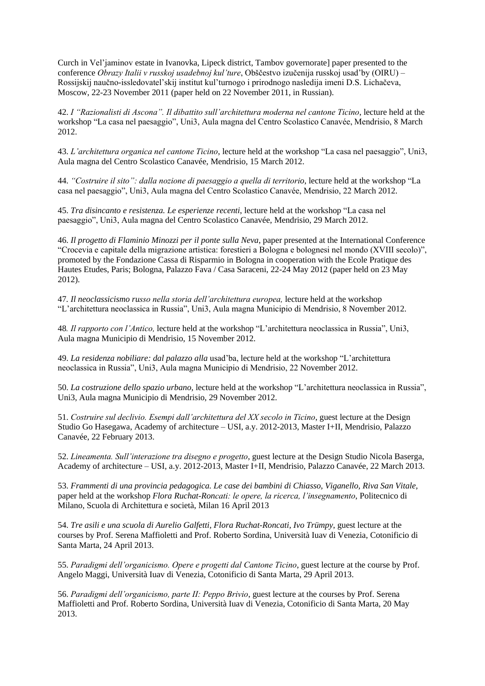Curch in Vel'jaminov estate in Ivanovka, Lipeck district, Tambov governorate] paper presented to the conference *Obrazy Italii v russkoj usadebnoj kul'ture*, Obščestvo izučenija russkoj usad'by (OIRU) – Rossijskij naučno-issledovatel'skij institut kul'turnogo i prirodnogo nasledija imeni D.S. Lichačeva, Moscow, 22-23 November 2011 (paper held on 22 November 2011, in Russian).

42. *I "Razionalisti di Ascona". Il dibattito sull'architettura moderna nel cantone Ticino*, lecture held at the workshop "La casa nel paesaggio", Uni3, Aula magna del Centro Scolastico Canavée, Mendrisio, 8 March 2012.

43. *L'architettura organica nel cantone Ticino*, lecture held at the workshop "La casa nel paesaggio", Uni3, Aula magna del Centro Scolastico Canavée, Mendrisio, 15 March 2012.

44. *"Costruire il sito": dalla nozione di paesaggio a quella di territorio*, lecture held at the workshop "La casa nel paesaggio", Uni3, Aula magna del Centro Scolastico Canavée, Mendrisio, 22 March 2012.

45. *Tra disincanto e resistenza. Le esperienze recenti*, lecture held at the workshop "La casa nel paesaggio", Uni3, Aula magna del Centro Scolastico Canavée, Mendrisio, 29 March 2012.

46. *Il progetto di Flaminio Minozzi per il ponte sulla Neva*, paper presented at the International Conference "Crocevia e capitale della migrazione artistica: forestieri a Bologna e bolognesi nel mondo (XVIII secolo)", promoted by the Fondazione Cassa di Risparmio in Bologna in cooperation with the Ecole Pratique des Hautes Etudes, Paris; Bologna, Palazzo Fava / Casa Saraceni, 22-24 May 2012 (paper held on 23 May 2012).

47*. Il neoclassicismo russo nella storia dell'architettura europea,* lecture held at the workshop "L'architettura neoclassica in Russia", Uni3, Aula magna Municipio di Mendrisio, 8 November 2012.

48*. Il rapporto con l'Antico,* lecture held at the workshop "L'architettura neoclassica in Russia", Uni3, Aula magna Municipio di Mendrisio, 15 November 2012.

49. *La residenza nobiliare: dal palazzo alla* usad'ba, lecture held at the workshop "L'architettura neoclassica in Russia", Uni3, Aula magna Municipio di Mendrisio, 22 November 2012.

50. *La costruzione dello spazio urbano,* lecture held at the workshop "L'architettura neoclassica in Russia", Uni3, Aula magna Municipio di Mendrisio, 29 November 2012.

51. *Costruire sul declivio. Esempi dall'architettura del XX secolo in Ticino*, guest lecture at the Design Studio Go Hasegawa, Academy of architecture – USI, a.y. 2012-2013, Master I+II, Mendrisio, Palazzo Canavée, 22 February 2013.

52. *Lineamenta. Sull'interazione tra disegno e progetto*, guest lecture at the Design Studio Nicola Baserga, Academy of architecture – USI, a.y. 2012-2013, Master I+II, Mendrisio, Palazzo Canavée, 22 March 2013.

53. *Frammenti di una provincia pedagogica. Le case dei bambini di Chiasso, Viganello, Riva San Vitale,*  paper held at the workshop *Flora Ruchat-Roncati: le opere, la ricerca, l'insegnamento*, Politecnico di Milano, Scuola di Architettura e società, Milan 16 April 2013

54. *Tre asili e una scuola di Aurelio Galfetti, Flora Ruchat-Roncati, Ivo Trümpy*, guest lecture at the courses by Prof. Serena Maffioletti and Prof. Roberto Sordina, Università Iuav di Venezia, Cotonificio di Santa Marta, 24 April 2013.

55. *Paradigmi dell'organicismo. Opere e progetti dal Cantone Ticino*, guest lecture at the course by Prof. Angelo Maggi, Università Iuav di Venezia, Cotonificio di Santa Marta, 29 April 2013.

56. *Paradigmi dell'organicismo, parte II: Peppo Brivio*, guest lecture at the courses by Prof. Serena Maffioletti and Prof. Roberto Sordina, Università Iuav di Venezia, Cotonificio di Santa Marta, 20 May 2013.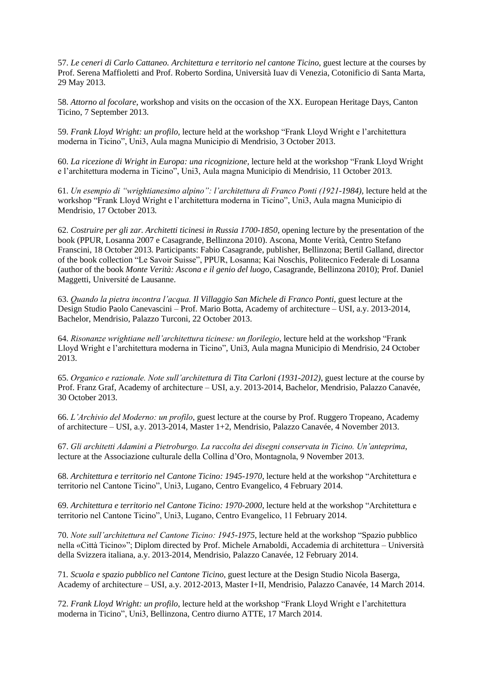57. *Le ceneri di Carlo Cattaneo. Architettura e territorio nel cantone Ticino*, guest lecture at the courses by Prof. Serena Maffioletti and Prof. Roberto Sordina, Università Iuav di Venezia, Cotonificio di Santa Marta, 29 May 2013.

58. *Attorno al focolare*, workshop and visits on the occasion of the XX. European Heritage Days, Canton Ticino, 7 September 2013.

59. *Frank Lloyd Wright: un profilo,* lecture held at the workshop "Frank Lloyd Wright e l'architettura moderna in Ticino", Uni3, Aula magna Municipio di Mendrisio, 3 October 2013.

60. *La ricezione di Wright in Europa: una ricognizione,* lecture held at the workshop "Frank Lloyd Wright e l'architettura moderna in Ticino", Uni3, Aula magna Municipio di Mendrisio, 11 October 2013.

61. *Un esempio di "wrightianesimo alpino": l'architettura di Franco Ponti (1921-1984),* lecture held at the workshop "Frank Lloyd Wright e l'architettura moderna in Ticino", Uni3, Aula magna Municipio di Mendrisio, 17 October 2013.

62. *Costruire per gli zar. Architetti ticinesi in Russia 1700-1850*, opening lecture by the presentation of the book (PPUR, Losanna 2007 e Casagrande, Bellinzona 2010). Ascona, Monte Verità, Centro Stefano Franscini, 18 October 2013. Participants: Fabio Casagrande, publisher, Bellinzona; Bertil Galland, director of the book collection "Le Savoir Suisse", PPUR, Losanna; Kai Noschis, Politecnico Federale di Losanna (author of the book *Monte Verità: Ascona e il genio del luogo*, Casagrande, Bellinzona 2010); Prof. Daniel Maggetti, Université de Lausanne.

63. *Quando la pietra incontra l'acqua. Il Villaggio San Michele di Franco Ponti*, guest lecture at the Design Studio Paolo Canevascini – Prof. Mario Botta, Academy of architecture – USI, a.y. 2013-2014, Bachelor, Mendrisio, Palazzo Turconi, 22 October 2013.

64. *Risonanze wrightiane nell'architettura ticinese: un florilegio,* lecture held at the workshop "Frank Lloyd Wright e l'architettura moderna in Ticino", Uni3, Aula magna Municipio di Mendrisio, 24 October 2013.

65. *Organico e razionale. Note sull'architettura di Tita Carloni (1931-2012)*, guest lecture at the course by Prof. Franz Graf, Academy of architecture – USI, a.y. 2013-2014, Bachelor, Mendrisio, Palazzo Canavée, 30 October 2013.

66. *L'Archivio del Moderno: un profilo*, guest lecture at the course by Prof. Ruggero Tropeano, Academy of architecture – USI, a.y. 2013-2014, Master 1+2, Mendrisio, Palazzo Canavée, 4 November 2013.

67. *Gli architetti Adamini a Pietroburgo. La raccolta dei disegni conservata in Ticino. Un'anteprima*, lecture at the Associazione culturale della Collina d'Oro, Montagnola, 9 November 2013.

68. *Architettura e territorio nel Cantone Ticino: 1945-1970*, lecture held at the workshop "Architettura e territorio nel Cantone Ticino", Uni3, Lugano, Centro Evangelico, 4 February 2014.

69. *Architettura e territorio nel Cantone Ticino: 1970-2000*, lecture held at the workshop "Architettura e territorio nel Cantone Ticino", Uni3, Lugano, Centro Evangelico, 11 February 2014.

70. *Note sull'architettura nel Cantone Ticino: 1945-1975*, lecture held at the workshop "Spazio pubblico nella «Città Ticino»"; Diplom directed by Prof. Michele Arnaboldi, Accademia di architettura – Università della Svizzera italiana, a.y. 2013-2014, Mendrisio, Palazzo Canavée, 12 February 2014.

71*. Scuola e spazio pubblico nel Cantone Ticino*, guest lecture at the Design Studio Nicola Baserga, Academy of architecture – USI, a.y. 2012-2013, Master I+II, Mendrisio, Palazzo Canavée, 14 March 2014.

72. *Frank Lloyd Wright: un profilo*, lecture held at the workshop "Frank Lloyd Wright e l'architettura moderna in Ticino", Uni3, Bellinzona, Centro diurno ATTE, 17 March 2014.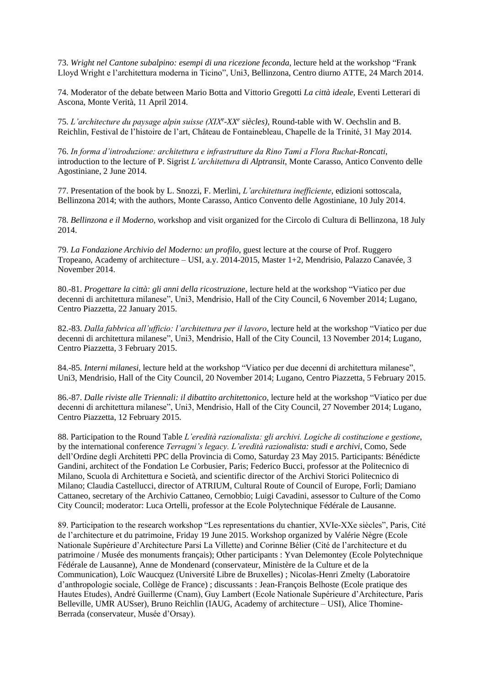73. *Wright nel Cantone subalpino: esempi di una ricezione feconda*, lecture held at the workshop "Frank Lloyd Wright e l'architettura moderna in Ticino", Uni3, Bellinzona, Centro diurno ATTE, 24 March 2014.

74. Moderator of the debate between Mario Botta and Vittorio Gregotti *La città ideale*, Eventi Letterari di Ascona, Monte Verità, 11 April 2014.

75. *L'architecture du paysage alpin suisse (XIX<sup>e</sup> -XX<sup>e</sup> siècles)*, Round-table with W. Oechslin and B. Reichlin, Festival de l'histoire de l'art, Château de Fontainebleau, Chapelle de la Trinité, 31 May 2014.

76. *In forma d'introduzione: architettura e infrastrutture da Rino Tami a Flora Ruchat-Roncati*, introduction to the lecture of P. Sigrist *L'architettura di Alptransit*, Monte Carasso, Antico Convento delle Agostiniane, 2 June 2014.

77. Presentation of the book by L. Snozzi, F. Merlini, *L'architettura inefficiente*, edizioni sottoscala, Bellinzona 2014; with the authors, Monte Carasso, Antico Convento delle Agostiniane, 10 July 2014.

78. *Bellinzona e il Moderno*, workshop and visit organized for the Circolo di Cultura di Bellinzona, 18 July 2014.

79. *La Fondazione Archivio del Moderno: un profilo*, guest lecture at the course of Prof. Ruggero Tropeano, Academy of architecture – USI, a.y. 2014-2015, Master 1+2, Mendrisio, Palazzo Canavée, 3 November 2014.

80.-81. *Progettare la città: gli anni della ricostruzione*, lecture held at the workshop "Viatico per due decenni di architettura milanese", Uni3, Mendrisio, Hall of the City Council, 6 November 2014; Lugano, Centro Piazzetta, 22 January 2015.

82.-83. *Dalla fabbrica all'ufficio: l'architettura per il lavoro*, lecture held at the workshop "Viatico per due decenni di architettura milanese", Uni3, Mendrisio, Hall of the City Council, 13 November 2014; Lugano, Centro Piazzetta, 3 February 2015.

84.-85. *Interni milanesi*, lecture held at the workshop "Viatico per due decenni di architettura milanese", Uni3, Mendrisio, Hall of the City Council, 20 November 2014; Lugano, Centro Piazzetta, 5 February 2015.

86.-87. *Dalle riviste alle Triennali: il dibattito architettonico*, lecture held at the workshop "Viatico per due decenni di architettura milanese", Uni3, Mendrisio, Hall of the City Council, 27 November 2014; Lugano, Centro Piazzetta, 12 February 2015.

88. Participation to the Round Table *L'eredità razionalista: gli archivi. Logiche di costituzione e gestione*, by the international conference *Terragni's legacy. L'eredità razionalista: studi e archivi*, Como, Sede dell'Ordine degli Architetti PPC della Provincia di Como, Saturday 23 May 2015. Participants: Bénédicte Gandini, architect of the Fondation Le Corbusier, Paris; Federico Bucci, professor at the Politecnico di Milano, Scuola di Architettura e Società, and scientific director of the Archivi Storici Politecnico di Milano; Claudia Castellucci, director of ATRIUM, Cultural Route of Council of Europe, Forlì; Damiano Cattaneo, secretary of the Archivio Cattaneo, Cernobbio; Luigi Cavadini, assessor to Culture of the Como City Council; moderator: Luca Ortelli, professor at the Ecole Polytechnique Fédérale de Lausanne.

89. Participation to the research workshop "Les representations du chantier, XVIe-XXe siècles", Paris, Cité de l'architecture et du patrimoine, Friday 19 June 2015. Workshop organized by Valérie Nègre (Ecole Nationale Supérieure d'Architecture Parsi La Villette) and Corinne Bélier (Cité de l'architecture et du patrimoine / Musée des monuments français); Other participants : Yvan Delemontey (Ecole Polytechnique Fédérale de Lausanne), Anne de Mondenard (conservateur, Ministère de la Culture et de la Communication), Loïc Waucquez (Université Libre de Bruxelles) ; Nicolas-Henri Zmelty (Laboratoire d'anthropologie sociale, Collège de France) ; discussants : Jean-François Belhoste (Ecole pratique des Hautes Etudes), André Guillerme (Cnam), Guy Lambert (Ecole Nationale Supérieure d'Architecture, Paris Belleville, UMR AUSser), Bruno Reichlin (IAUG, Academy of architecture – USI), Alice Thomine-Berrada (conservateur, Musée d'Orsay).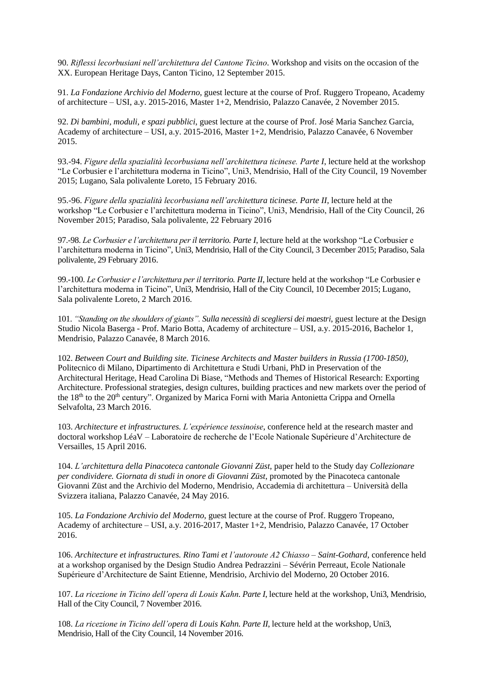90. *Riflessi lecorbusiani nell'architettura del Cantone Ticino*. Workshop and visits on the occasion of the XX. European Heritage Days, Canton Ticino, 12 September 2015.

91. *La Fondazione Archivio del Moderno*, guest lecture at the course of Prof. Ruggero Tropeano, Academy of architecture – USI, a.y. 2015-2016, Master 1+2, Mendrisio, Palazzo Canavée, 2 November 2015.

92. *Di bambini, moduli, e spazi pubblici*, guest lecture at the course of Prof. José Maria Sanchez Garcia, Academy of architecture – USI, a.y. 2015-2016, Master 1+2, Mendrisio, Palazzo Canavée, 6 November 2015.

93.-94. *Figure della spazialità lecorbusiana nell'architettura ticinese. Parte I*, lecture held at the workshop "Le Corbusier e l'architettura moderna in Ticino", Uni3, Mendrisio, Hall of the City Council, 19 November 2015; Lugano, Sala polivalente Loreto, 15 February 2016.

95.-96. *Figure della spazialità lecorbusiana nell'architettura ticinese. Parte II*, lecture held at the workshop "Le Corbusier e l'architettura moderna in Ticino", Uni3, Mendrisio, Hall of the City Council, 26 November 2015; Paradiso, Sala polivalente, 22 February 2016

97.-98. *Le Corbusier e l'architettura per il territorio. Parte I*, lecture held at the workshop "Le Corbusier e l'architettura moderna in Ticino", Uni3, Mendrisio, Hall of the City Council, 3 December 2015; Paradiso, Sala polivalente, 29 February 2016.

99.-100. *Le Corbusier e l'architettura per il territorio. Parte II*, lecture held at the workshop "Le Corbusier e l'architettura moderna in Ticino", Uni3, Mendrisio, Hall of the City Council, 10 December 2015; Lugano, Sala polivalente Loreto, 2 March 2016.

101. *"Standing on the shoulders of giants". Sulla necessità di scegliersi dei maestri*, guest lecture at the Design Studio Nicola Baserga - Prof. Mario Botta, Academy of architecture – USI, a.y. 2015-2016, Bachelor 1, Mendrisio, Palazzo Canavée, 8 March 2016.

102. *Between Court and Building site. Ticinese Architects and Master builders in Russia (1700-1850)*, Politecnico di Milano, Dipartimento di Architettura e Studi Urbani, PhD in Preservation of the Architectural Heritage, Head Carolina Di Biase, "Methods and Themes of Historical Research: Exporting Architecture. Professional strategies, design cultures, building practices and new markets over the period of the 18<sup>th</sup> to the 20<sup>th</sup> century". Organized by Marica Forni with Maria Antonietta Crippa and Ornella Selvafolta, 23 March 2016.

103. *Architecture et infrastructures. L'expérience tessinoise*, conference held at the research master and doctoral workshop LéaV – Laboratoire de recherche de l'Ecole Nationale Supérieure d'Architecture de Versailles, 15 April 2016.

104. *L'architettura della Pinacoteca cantonale Giovanni Züst*, paper held to the Study day *Collezionare per condividere. Giornata di studi in onore di Giovanni Züst*, promoted by the Pinacoteca cantonale Giovanni Züst and the Archivio del Moderno, Mendrisio, Accademia di architettura – Università della Svizzera italiana, Palazzo Canavée, 24 May 2016.

105. *La Fondazione Archivio del Moderno*, guest lecture at the course of Prof. Ruggero Tropeano, Academy of architecture – USI, a.y. 2016-2017, Master 1+2, Mendrisio, Palazzo Canavée, 17 October 2016.

106. *Architecture et infrastructures. Rino Tami et l'autoroute A2 Chiasso – Saint-Gothard*, conference held at a workshop organised by the Design Studio Andrea Pedrazzini – Sévérin Perreaut, Ecole Nationale Supérieure d'Architecture de Saint Etienne, Mendrisio, Archivio del Moderno, 20 October 2016.

107. *La ricezione in Ticino dell'opera di Louis Kahn. Parte I*, lecture held at the workshop, Uni3, Mendrisio, Hall of the City Council, 7 November 2016.

108. *La ricezione in Ticino dell'opera di Louis Kahn. Parte II*, lecture held at the workshop, Uni3, Mendrisio, Hall of the City Council, 14 November 2016.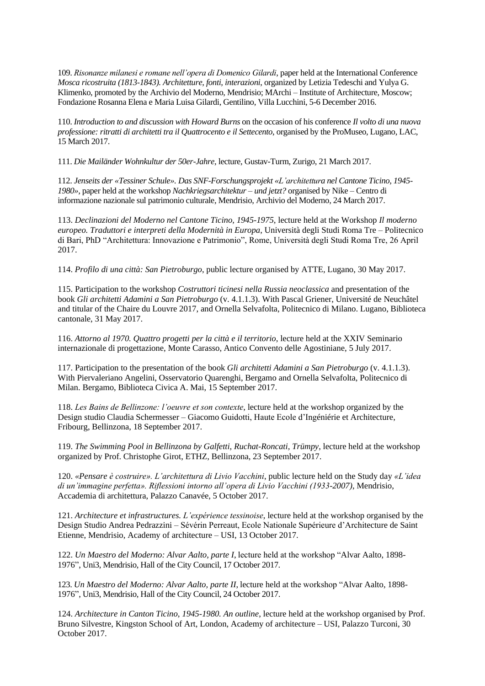109. *Risonanze milanesi e romane nell'opera di Domenico Gilardi*, paper held at the International Conference *Mosca ricostruita (1813-1843). Architetture, fonti, interazioni*, organized by Letizia Tedeschi and Yulya G. Klimenko, promoted by the Archivio del Moderno, Mendrisio; MArchi – Institute of Architecture, Moscow; Fondazione Rosanna Elena e Maria Luisa Gilardi, Gentilino, Villa Lucchini, 5-6 December 2016.

110. *Introduction to and discussion with Howard Burns* on the occasion of his conference *Il volto di una nuova professione: ritratti di architetti tra il Quattrocento e il Settecento*, organised by the ProMuseo, Lugano, LAC, 15 March 2017.

111. *Die Mailänder Wohnkultur der 50er-Jahre*, lecture, Gustav-Turm, Zurigo, 21 March 2017.

112. *Jenseits der «Tessiner Schule». Das SNF-Forschungsprojekt «L'architettura nel Cantone Ticino, 1945- 1980»*, paper held at the workshop *Nachkriegsarchitektur – und jetzt?* organised by Nike – Centro di informazione nazionale sul patrimonio culturale, Mendrisio, Archivio del Moderno, 24 March 2017.

113. *Declinazioni del Moderno nel Cantone Ticino, 1945-1975*, lecture held at the Workshop *Il moderno europeo. Traduttori e interpreti della Modernità in Europa*, Università degli Studi Roma Tre – Politecnico di Bari, PhD "Architettura: Innovazione e Patrimonio", Rome, Università degli Studi Roma Tre, 26 April 2017.

114. *Profilo di una città: San Pietroburgo*, public lecture organised by ATTE, Lugano, 30 May 2017.

115. Participation to the workshop *Costruttori ticinesi nella Russia neoclassica* and presentation of the book *Gli architetti Adamini a San Pietroburgo* (v. 4.1.1.3). With Pascal Griener, Université de Neuchâtel and titular of the Chaire du Louvre 2017, and Ornella Selvafolta, Politecnico di Milano. Lugano, Biblioteca cantonale, 31 May 2017.

116. *Attorno al 1970. Quattro progetti per la città e il territorio*, lecture held at the XXIV Seminario internazionale di progettazione, Monte Carasso, Antico Convento delle Agostiniane, 5 July 2017.

117. Participation to the presentation of the book *Gli architetti Adamini a San Pietroburgo* (v. 4.1.1.3). With Piervaleriano Angelini, Osservatorio Quarenghi, Bergamo and Ornella Selvafolta, Politecnico di Milan. Bergamo, Biblioteca Civica A. Mai, 15 September 2017.

118. *Les Bains de Bellinzone: l'oeuvre et son contexte*, lecture held at the workshop organized by the Design studio Claudia Schermesser – Giacomo Guidotti, Haute Ecole d'Ingéniérie et Architecture, Fribourg, Bellinzona, 18 September 2017.

119. *The Swimming Pool in Bellinzona by Galfetti, Ruchat-Roncati, Trümpy*, lecture held at the workshop organized by Prof. Christophe Girot, ETHZ, Bellinzona, 23 September 2017.

120. *«Pensare è costruire». L'architettura di Livio Vacchini*, public lecture held on the Study day *«L'idea di un'immagine perfetta». Riflessioni intorno all'opera di Livio Vacchini (1933-2007)*, Mendrisio, Accademia di architettura, Palazzo Canavée, 5 October 2017.

121. *Architecture et infrastructures. L'expérience tessinoise*, lecture held at the workshop organised by the Design Studio Andrea Pedrazzini – Sévérin Perreaut, Ecole Nationale Supérieure d'Architecture de Saint Etienne, Mendrisio, Academy of architecture – USI, 13 October 2017.

122. *Un Maestro del Moderno: Alvar Aalto, parte I*, lecture held at the workshop "Alvar Aalto, 1898- 1976", Uni3, Mendrisio, Hall of the City Council, 17 October 2017.

123. *Un Maestro del Moderno: Alvar Aalto, parte II*, lecture held at the workshop "Alvar Aalto, 1898- 1976", Uni3, Mendrisio, Hall of the City Council, 24 October 2017.

124. *Architecture in Canton Ticino, 1945-1980. An outline*, lecture held at the workshop organised by Prof. Bruno Silvestre, Kingston School of Art, London, Academy of architecture – USI, Palazzo Turconi, 30 October 2017.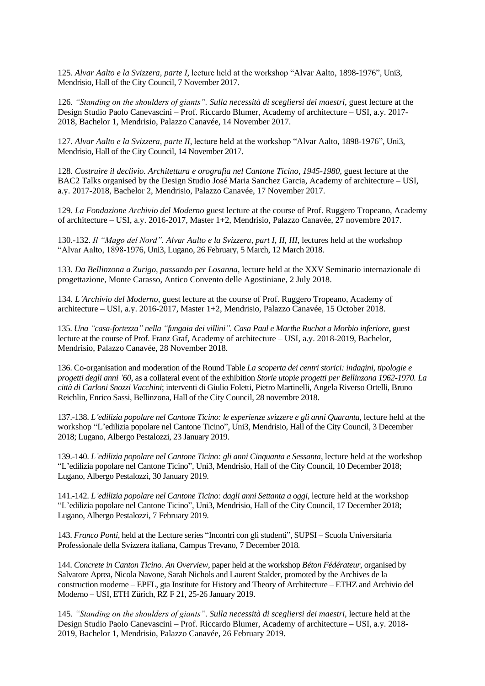125. *Alvar Aalto e la Svizzera, parte I*, lecture held at the workshop "Alvar Aalto, 1898-1976", Uni3, Mendrisio, Hall of the City Council, 7 November 2017.

126. *"Standing on the shoulders of giants". Sulla necessità di scegliersi dei maestri*, guest lecture at the Design Studio Paolo Canevascini – Prof. Riccardo Blumer, Academy of architecture – USI, a.y. 2017- 2018, Bachelor 1, Mendrisio, Palazzo Canavée, 14 November 2017.

127. *Alvar Aalto e la Svizzera, parte II*, lecture held at the workshop "Alvar Aalto, 1898-1976", Uni3, Mendrisio, Hall of the City Council, 14 November 2017.

128. *Costruire il declivio. Architettura e orografia nel Cantone Ticino, 1945-1980*, guest lecture at the BAC2 Talks organised by the Design Studio José Maria Sanchez Garcia, Academy of architecture – USI, a.y. 2017-2018, Bachelor 2, Mendrisio, Palazzo Canavée, 17 November 2017.

129. *La Fondazione Archivio del Moderno* guest lecture at the course of Prof. Ruggero Tropeano, Academy of architecture – USI, a.y. 2016-2017, Master 1+2, Mendrisio, Palazzo Canavée, 27 novembre 2017.

130.-132. *Il "Mago del Nord". Alvar Aalto e la Svizzera, part I, II, III*, lectures held at the workshop "Alvar Aalto, 1898-1976, Uni3, Lugano, 26 February, 5 March, 12 March 2018.

133. *Da Bellinzona a Zurigo, passando per Losanna*, lecture held at the XXV Seminario internazionale di progettazione, Monte Carasso, Antico Convento delle Agostiniane, 2 July 2018.

134. *L'Archivio del Moderno*, guest lecture at the course of Prof. Ruggero Tropeano, Academy of architecture – USI, a.y. 2016-2017, Master 1+2, Mendrisio, Palazzo Canavée, 15 October 2018.

135. *Una "casa-fortezza" nella "fungaia dei villini". Casa Paul e Marthe Ruchat a Morbio inferiore*, guest lecture at the course of Prof. Franz Graf, Academy of architecture – USI, a.y. 2018-2019, Bachelor, Mendrisio, Palazzo Canavée, 28 November 2018.

136. Co-organisation and moderation of the Round Table *La scoperta dei centri storici: indagini, tipologie e progetti degli anni '60*, as a collateral event of the exhibition *Storie utopie progetti per Bellinzona 1962-1970. La città di Carloni Snozzi Vacchini*; interventi di Giulio Foletti, Pietro Martinelli, Angela Riverso Ortelli, Bruno Reichlin, Enrico Sassi, Bellinzona, Hall of the City Council, 28 novembre 2018.

137.-138. *L'edilizia popolare nel Cantone Ticino: le esperienze svizzere e gli anni Quaranta*, lecture held at the workshop "L'edilizia popolare nel Cantone Ticino", Uni3, Mendrisio, Hall of the City Council, 3 December 2018; Lugano, Albergo Pestalozzi, 23 January 2019.

139.-140. *L'edilizia popolare nel Cantone Ticino: gli anni Cinquanta e Sessanta*, lecture held at the workshop "L'edilizia popolare nel Cantone Ticino", Uni3, Mendrisio, Hall of the City Council, 10 December 2018; Lugano, Albergo Pestalozzi, 30 January 2019.

141.-142. *L'edilizia popolare nel Cantone Ticino: dagli anni Settanta a oggi*, lecture held at the workshop "L'edilizia popolare nel Cantone Ticino", Uni3, Mendrisio, Hall of the City Council, 17 December 2018; Lugano, Albergo Pestalozzi, 7 February 2019.

143. *Franco Ponti*, held at the Lecture series "Incontri con gli studenti", SUPSI – Scuola Universitaria Professionale della Svizzera italiana, Campus Trevano, 7 December 2018.

144. *Concrete in Canton Ticino. An Overview*, paper held at the workshop *Béton Fédérateur*, organised by Salvatore Aprea, Nicola Navone, Sarah Nichols and Laurent Stalder, promoted by the Archives de la construction moderne – EPFL, gta Institute for History and Theory of Architecture – ETHZ and Archivio del Moderno – USI, ETH Zürich, RZ F 21, 25-26 January 2019.

145. *"Standing on the shoulders of giants". Sulla necessità di scegliersi dei maestri*, lecture held at the Design Studio Paolo Canevascini – Prof. Riccardo Blumer, Academy of architecture – USI, a.y. 2018- 2019, Bachelor 1, Mendrisio, Palazzo Canavée, 26 February 2019.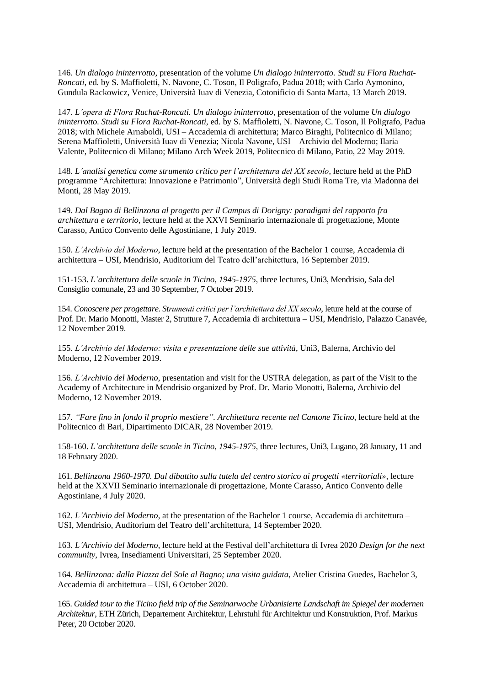146. *Un dialogo ininterrotto*, presentation of the volume *Un dialogo ininterrotto. Studi su Flora Ruchat-Roncati*, ed. by S. Maffioletti, N. Navone, C. Toson, Il Poligrafo, Padua 2018; with Carlo Aymonino, Gundula Rackowicz, Venice, Università Iuav di Venezia, Cotonificio di Santa Marta, 13 March 2019.

147. *L'opera di Flora Ruchat-Roncati. Un dialogo ininterrotto*, presentation of the volume *Un dialogo ininterrotto. Studi su Flora Ruchat-Roncati*, ed. by S. Maffioletti, N. Navone, C. Toson, Il Poligrafo, Padua 2018; with Michele Arnaboldi, USI – Accademia di architettura; Marco Biraghi, Politecnico di Milano; Serena Maffioletti, Università Iuav di Venezia; Nicola Navone, USI – Archivio del Moderno; Ilaria Valente, Politecnico di Milano; Milano Arch Week 2019, Politecnico di Milano, Patio, 22 May 2019.

148. *L'analisi genetica come strumento critico per l'architettura del XX secolo*, lecture held at the PhD programme "Architettura: Innovazione e Patrimonio", Università degli Studi Roma Tre, via Madonna dei Monti, 28 May 2019.

149. *Dal Bagno di Bellinzona al progetto per il Campus di Dorigny: paradigmi del rapporto fra architettura e territorio*, lecture held at the XXVI Seminario internazionale di progettazione, Monte Carasso, Antico Convento delle Agostiniane, 1 July 2019.

150. *L'Archivio del Moderno*, lecture held at the presentation of the Bachelor 1 course, Accademia di architettura – USI, Mendrisio, Auditorium del Teatro dell'architettura, 16 September 2019.

151-153. *L'architettura delle scuole in Ticino, 1945-1975*, three lectures, Uni3, Mendrisio, Sala del Consiglio comunale, 23 and 30 September, 7 October 2019.

154. *Conoscere per progettare. Strumenti critici per l'architettura del XX secolo*, leture held at the course of Prof. Dr. Mario Monotti, Master 2, Strutture 7, Accademia di architettura – USI, Mendrisio, Palazzo Canavée, 12 November 2019.

155. *L'Archivio del Moderno: visita e presentazione delle sue attività*, Uni3, Balerna, Archivio del Moderno, 12 November 2019.

156. *L'Archivio del Moderno*, presentation and visit for the USTRA delegation, as part of the Visit to the Academy of Architecture in Mendrisio organized by Prof. Dr. Mario Monotti, Balerna, Archivio del Moderno, 12 November 2019.

157. *"Fare fino in fondo il proprio mestiere". Architettura recente nel Cantone Ticino*, lecture held at the Politecnico di Bari, Dipartimento DICAR, 28 November 2019.

158-160. *L'architettura delle scuole in Ticino, 1945-1975*, three lectures, Uni3, Lugano, 28 January, 11 and 18 February 2020.

161. *Bellinzona 1960-1970. Dal dibattito sulla tutela del centro storico ai progetti «territoriali»*, lecture held at the XXVII Seminario internazionale di progettazione, Monte Carasso, Antico Convento delle Agostiniane, 4 July 2020.

162. *L'Archivio del Moderno*, at the presentation of the Bachelor 1 course, Accademia di architettura – USI, Mendrisio, Auditorium del Teatro dell'architettura, 14 September 2020.

163. *L'Archivio del Moderno*, lecture held at the Festival dell'architettura di Ivrea 2020 *Design for the next community*, Ivrea, Insediamenti Universitari, 25 September 2020.

164. *Bellinzona: dalla Piazza del Sole al Bagno; una visita guidata*, Atelier Cristina Guedes, Bachelor 3, Accademia di architettura – USI, 6 October 2020.

165. *Guided tour to the Ticino field trip of the Seminarwoche Urbanisierte Landschaft im Spiegel der modernen Architektur*, ETH Zürich, Departement Architektur, Lehrstuhl für Architektur und Konstruktion, Prof. Markus Peter, 20 October 2020.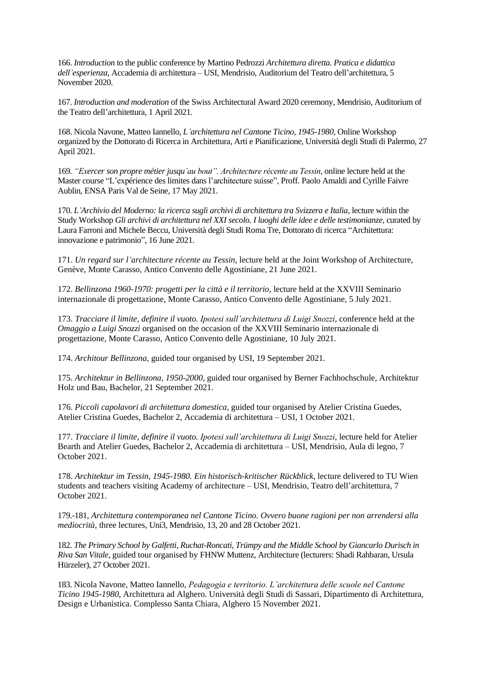166. *Introduction* to the public conference by Martino Pedrozzi *Architettura diretta. Pratica e didattica dell'esperienza*, Accademia di architettura – USI, Mendrisio, Auditorium del Teatro dell'architettura, 5 November 2020.

167. *Introduction and moderation* of the Swiss Architectural Award 2020 ceremony, Mendrisio, Auditorium of the Teatro dell'architettura, 1 April 2021.

168. Nicola Navone, Matteo Iannello, *L'architettura nel Cantone Ticino, 1945-1980,* Online Workshop organized by the Dottorato di Ricerca in Architettura, Arti e Pianificazione, Università degli Studi di Palermo, 27 April 2021.

169. *"Exercer son propre métier jusqu'au bout". Architecture récente au Tessin*, online lecture held at the Master course "L'expérience des limites dans l'architecture suisse", Proff. Paolo Amaldi and Cyrille Faivre Aublin, ENSA Paris Val de Seine, 17 May 2021.

170. *L'Archivio del Moderno: la ricerca sugli archivi di architettura tra Svizzera e Italia*, lecture within the Study Workshop *Gli archivi di architettura nel XXI secolo. I luoghi delle idee e delle testimonianze*, curated by Laura Farroni and Michele Beccu, Università degli Studi Roma Tre, Dottorato di ricerca "Architettura: innovazione e patrimonio", 16 June 2021.

171. *Un regard sur l'architecture récente au Tessin*, lecture held at the Joint Workshop of Architecture, Genève, Monte Carasso, Antico Convento delle Agostiniane, 21 June 2021.

172. *Bellinzona 1960-1970: progetti per la città e il territorio*, lecture held at the XXVIII Seminario internazionale di progettazione, Monte Carasso, Antico Convento delle Agostiniane, 5 July 2021.

173. *Tracciare il limite, definire il vuoto. Ipotesi sull'architettura di Luigi Snozzi*, conference held at the *Omaggio a Luigi Snozzi* organised on the occasion of the XXVIII Seminario internazionale di progettazione, Monte Carasso, Antico Convento delle Agostiniane, 10 July 2021.

174. *Architour Bellinzona*, guided tour organised by USI, 19 September 2021.

175. *Architektur in Bellinzona, 1950-2000*, guided tour organised by Berner Fachhochschule, Architektur Holz und Bau, Bachelor, 21 September 2021.

176. *Piccoli capolavori di architettura domestica*, guided tour organised by Atelier Cristina Guedes, Atelier Cristina Guedes, Bachelor 2, Accademia di architettura – USI, 1 October 2021.

177. *Tracciare il limite, definire il vuoto. Ipotesi sull'architettura di Luigi Snozzi*, lecture held for Atelier Bearth and Atelier Guedes, Bachelor 2, Accademia di architettura – USI, Mendrisio, Aula di legno, 7 October 2021.

178. *Architektur im Tessin, 1945-1980. Ein historisch-kritischer Rückblick*, lecture delivered to TU Wien students and teachers visiting Academy of architecture – USI, Mendrisio, Teatro dell'architettura, 7 October 2021.

179.-181, *Architettura contemporanea nel Cantone Ticino. Ovvero buone ragioni per non arrendersi alla mediocrità*, three lectures, Uni3, Mendrisio, 13, 20 and 28 October 2021.

182. *The Primary School by Galfetti, Ruchat-Roncati, Trümpy and the Middle School by Giancarlo Durisch in Riva San Vitale*, guided tour organised by FHNW Muttenz, Architecture (lecturers: Shadi Rahbaran, Ursula Hürzeler), 27 October 2021.

183. Nicola Navone, Matteo Iannello, *Pedagogia e territorio. L'architettura delle scuole nel Cantone Ticino 1945-1980*, Architettura ad Alghero. Università degli Studi di Sassari, Dipartimento di Architettura, Design e Urbanistica. Complesso Santa Chiara, Alghero 15 November 2021.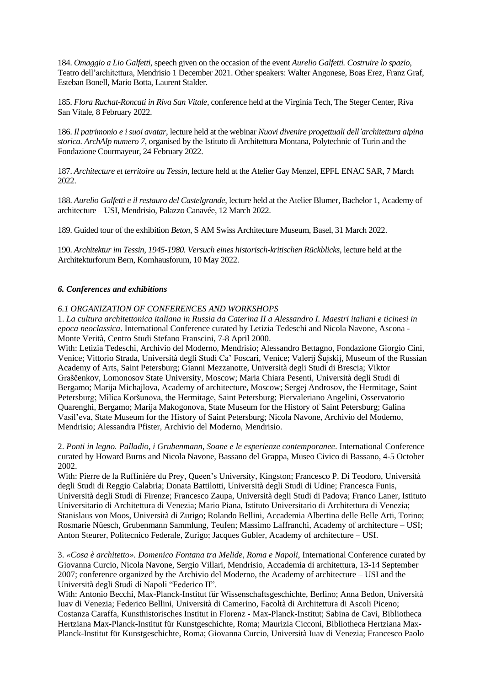184. *Omaggio a Lio Galfetti*, speech given on the occasion of the event *Aurelio Galfetti. Costruire lo spazio*, Teatro dell'architettura, Mendrisio 1 December 2021. Other speakers: Walter Angonese, Boas Erez, Franz Graf, Esteban Bonell, Mario Botta, Laurent Stalder.

185. *Flora Ruchat-Roncati in Riva San Vitale*, conference held at the Virginia Tech, The Steger Center, Riva San Vitale, 8 February 2022.

186. *Il patrimonio e i suoi avatar*, lecture held at the webinar *Nuovi divenire progettuali dell'architettura alpina storica. ArchAlp numero 7*, organised by the Istituto di Architettura Montana, Polytechnic of Turin and the Fondazione Courmayeur, 24 February 2022.

187. *Architecture et territoire au Tessin*, lecture held at the Atelier Gay Menzel, EPFL ENAC SAR, 7 March 2022.

188. *Aurelio Galfetti e il restauro del Castelgrande*, lecture held at the Atelier Blumer, Bachelor 1, Academy of architecture – USI, Mendrisio, Palazzo Canavée, 12 March 2022.

189. Guided tour of the exhibition *Beton*, S AM Swiss Architecture Museum, Basel, 31 March 2022.

190. *Architektur im Tessin, 1945-1980. Versuch eines historisch-kritischen Rückblicks*, lecture held at the Architekturforum Bern, Kornhausforum, 10 May 2022.

### *6. Conferences and exhibitions*

#### *6.1 ORGANIZATION OF CONFERENCES AND WORKSHOPS*

1. *La cultura architettonica italiana in Russia da Caterina II a Alessandro I. Maestri italiani e ticinesi in epoca neoclassica*. International Conference curated by Letizia Tedeschi and Nicola Navone, Ascona - Monte Verità, Centro Studi Stefano Franscini, 7-8 April 2000.

With: Letizia Tedeschi, Archivio del Moderno, Mendrisio; Alessandro Bettagno, Fondazione Giorgio Cini, Venice; Vittorio Strada, Università degli Studi Ca' Foscari, Venice; Valerij Šujskij, Museum of the Russian Academy of Arts, Saint Petersburg; Gianni Mezzanotte, Università degli Studi di Brescia; Viktor Graščenkov, Lomonosov State University, Moscow; Maria Chiara Pesenti, Università degli Studi di Bergamo; Marija Michajlova, Academy of architecture, Moscow; Sergej Androsov, the Hermitage, Saint Petersburg; Milica Koršunova, the Hermitage, Saint Petersburg; Piervaleriano Angelini, Osservatorio Quarenghi, Bergamo; Marija Makogonova, State Museum for the History of Saint Petersburg; Galina Vasil'eva, State Museum for the History of Saint Petersburg; Nicola Navone, Archivio del Moderno, Mendrisio; Alessandra Pfister, Archivio del Moderno, Mendrisio.

2. *Ponti in legno. Palladio, i Grubenmann, Soane e le esperienze contemporanee*. International Conference curated by Howard Burns and Nicola Navone, Bassano del Grappa, Museo Civico di Bassano, 4-5 October 2002.

With: Pierre de la Ruffinière du Prey, Queen's University, Kingston; Francesco P. Di Teodoro, Università degli Studi di Reggio Calabria; Donata Battilotti, Università degli Studi di Udine; Francesca Funis, Università degli Studi di Firenze; Francesco Zaupa, Università degli Studi di Padova; Franco Laner, Istituto Universitario di Architettura di Venezia; Mario Piana, Istituto Universitario di Architettura di Venezia; Stanislaus von Moos, Università di Zurigo; Rolando Bellini, Accademia Albertina delle Belle Arti, Torino; Rosmarie Nüesch, Grubenmann Sammlung, Teufen; Massimo Laffranchi, Academy of architecture – USI; Anton Steurer, Politecnico Federale, Zurigo; Jacques Gubler, Academy of architecture – USI.

3. *«Cosa è architetto». Domenico Fontana tra Melide, Roma e Napoli*, International Conference curated by Giovanna Curcio, Nicola Navone, Sergio Villari, Mendrisio, Accademia di architettura, 13-14 September 2007; conference organized by the Archivio del Moderno, the Academy of architecture – USI and the Università degli Studi di Napoli "Federico II".

With: Antonio Becchi, Max-Planck-Institut für Wissenschaftsgeschichte, Berlino; Anna Bedon, Università Iuav di Venezia; Federico Bellini, Università di Camerino, Facoltà di Architettura di Ascoli Piceno; Costanza Caraffa, Kunsthistorisches Institut in Florenz - Max-Planck-Institut; Sabina de Cavi, Bibliotheca Hertziana Max-Planck-Institut für Kunstgeschichte, Roma; Maurizia Cicconi, Bibliotheca Hertziana Max-Planck-Institut für Kunstgeschichte, Roma; Giovanna Curcio, Università Iuav di Venezia; Francesco Paolo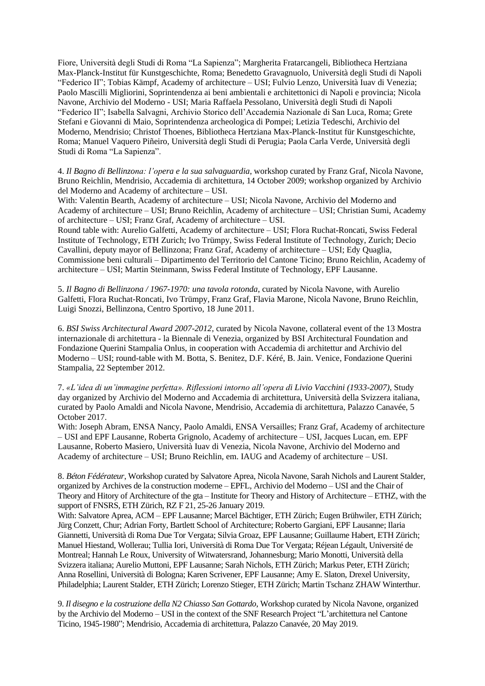Fiore, Università degli Studi di Roma "La Sapienza"; Margherita Fratarcangeli, Bibliotheca Hertziana Max-Planck-Institut für Kunstgeschichte, Roma; Benedetto Gravagnuolo, Università degli Studi di Napoli "Federico II"; Tobias Kämpf, Academy of architecture – USI; Fulvio Lenzo, Università Iuav di Venezia; Paolo Mascilli Migliorini, Soprintendenza ai beni ambientali e architettonici di Napoli e provincia; Nicola Navone, Archivio del Moderno - USI; Maria Raffaela Pessolano, Università degli Studi di Napoli "Federico II"; Isabella Salvagni, Archivio Storico dell'Accademia Nazionale di San Luca, Roma; Grete Stefani e Giovanni di Maio, Soprintendenza archeologica di Pompei; Letizia Tedeschi, Archivio del Moderno, Mendrisio; Christof Thoenes, Bibliotheca Hertziana Max-Planck-Institut für Kunstgeschichte, Roma; Manuel Vaquero Piñeiro, Università degli Studi di Perugia; Paola Carla Verde, Università degli Studi di Roma "La Sapienza".

4. *Il Bagno di Bellinzona: l'opera e la sua salvaguardia*, workshop curated by Franz Graf, Nicola Navone, Bruno Reichlin, Mendrisio, Accademia di architettura, 14 October 2009; workshop organized by Archivio del Moderno and Academy of architecture – USI.

With: Valentin Bearth, Academy of architecture – USI; Nicola Navone, Archivio del Moderno and Academy of architecture – USI; Bruno Reichlin, Academy of architecture – USI; Christian Sumi, Academy of architecture – USI; Franz Graf, Academy of architecture – USI.

Round table with: Aurelio Galfetti, Academy of architecture – USI; Flora Ruchat-Roncati, Swiss Federal Institute of Technology, ETH Zurich; Ivo Trümpy, Swiss Federal Institute of Technology, Zurich; Decio Cavallini, deputy mayor of Bellinzona; Franz Graf, Academy of architecture – USI; Edy Quaglia, Commissione beni culturali – Dipartimento del Territorio del Cantone Ticino; Bruno Reichlin, Academy of architecture – USI; Martin Steinmann, Swiss Federal Institute of Technology, EPF Lausanne.

5. *Il Bagno di Bellinzona / 1967-1970: una tavola rotonda*, curated by Nicola Navone, with Aurelio Galfetti, Flora Ruchat-Roncati, Ivo Trümpy, Franz Graf, Flavia Marone, Nicola Navone, Bruno Reichlin, Luigi Snozzi, Bellinzona, Centro Sportivo, 18 June 2011.

6. *BSI Swiss Architectural Award 2007-2012,* curated by Nicola Navone, collateral event of the 13 Mostra internazionale di architettura - la Biennale di Venezia, organized by BSI Architectural Foundation and Fondazione Querini Stampalia Onlus, in cooperation with Accademia di architettur and Archivio del Moderno – USI; round-table with M. Botta, S. Benitez, D.F. Kéré, B. Jain. Venice, Fondazione Querini Stampalia, 22 September 2012.

7. *«L'idea di un'immagine perfetta». Riflessioni intorno all'opera di Livio Vacchini (1933-2007)*, Study day organized by Archivio del Moderno and Accademia di architettura, Università della Svizzera italiana, curated by Paolo Amaldi and Nicola Navone, Mendrisio, Accademia di architettura, Palazzo Canavée, 5 October 2017.

With: Joseph Abram, ENSA Nancy, Paolo Amaldi, ENSA Versailles; Franz Graf, Academy of architecture – USI and EPF Lausanne, Roberta Grignolo, Academy of architecture – USI, Jacques Lucan, em. EPF Lausanne, Roberto Masiero, Università Iuav di Venezia, Nicola Navone, Archivio del Moderno and Academy of architecture – USI; Bruno Reichlin, em. IAUG and Academy of architecture – USI.

8. *Béton Fédérateur*, Workshop curated by Salvatore Aprea, Nicola Navone, Sarah Nichols and Laurent Stalder, organized by Archives de la construction moderne – EPFL, Archivio del Moderno – USI and the Chair of Theory and Hitory of Architecture of the gta – Institute for Theory and History of Architecture – ETHZ, with the support of FNSRS, ETH Zürich, RZ F 21, 25-26 January 2019.

With: Salvatore Aprea, ACM – EPF Lausanne; Marcel Bächtiger, ETH Zürich; Eugen Brühwiler, ETH Zürich; Jürg Conzett, Chur; Adrian Forty, Bartlett School of Architecture; Roberto Gargiani, EPF Lausanne; Ilaria Giannetti, Università di Roma Due Tor Vergata; Silvia Groaz, EPF Lausanne; Guillaume Habert, ETH Zürich; Manuel Hiestand, Wollerau; Tullia Iori, Università di Roma Due Tor Vergata; Réjean Légault, Université de Montreal; Hannah Le Roux, University of Witwatersrand, Johannesburg; Mario Monotti, Università della Svizzera italiana; Aurelio Muttoni, EPF Lausanne; Sarah Nichols, ETH Zürich; Markus Peter, ETH Zürich; Anna Rosellini, Università di Bologna; Karen Scrivener, EPF Lausanne; Amy E. Slaton, Drexel University, Philadelphia; Laurent Stalder, ETH Zürich; Lorenzo Stieger, ETH Zürich; Martin Tschanz ZHAW Winterthur.

9. *Il disegno e la costruzione della N2 Chiasso San Gottardo*, Workshop curated by Nicola Navone, organized by the Archivio del Moderno – USI in the context of the SNF Research Project "L'architettura nel Cantone Ticino, 1945-1980"; Mendrisio, Accademia di architettura, Palazzo Canavée, 20 May 2019.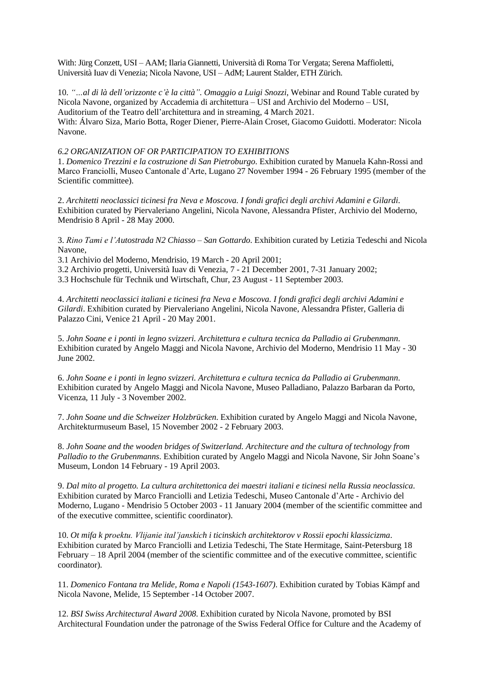With: Jürg Conzett, USI – AAM; Ilaria Giannetti, Università di Roma Tor Vergata; Serena Maffioletti, Università Iuav di Venezia; Nicola Navone, USI – AdM; Laurent Stalder, ETH Zürich.

10. *"…al di là dell'orizzonte c'è la città". Omaggio a Luigi Snozzi*, Webinar and Round Table curated by Nicola Navone, organized by Accademia di architettura – USI and Archivio del Moderno – USI, Auditorium of the Teatro dell'architettura and in streaming, 4 March 2021. With: Álvaro Siza, Mario Botta, Roger Diener, Pierre-Alain Croset, Giacomo Guidotti. Moderator: Nicola Navone.

# *6.2 ORGANIZATION OF OR PARTICIPATION TO EXHIBITIONS*

1. *Domenico Trezzini e la costruzione di San Pietroburgo*. Exhibition curated by Manuela Kahn-Rossi and Marco Franciolli, Museo Cantonale d'Arte, Lugano 27 November 1994 - 26 February 1995 (member of the Scientific committee).

2. *Architetti neoclassici ticinesi fra Neva e Moscova. I fondi grafici degli archivi Adamini e Gilardi*. Exhibition curated by Piervaleriano Angelini, Nicola Navone, Alessandra Pfister, Archivio del Moderno, Mendrisio 8 April - 28 May 2000.

3. *Rino Tami e l'Autostrada N2 Chiasso – San Gottardo*. Exhibition curated by Letizia Tedeschi and Nicola Navone,

3.1 Archivio del Moderno, Mendrisio, 19 March - 20 April 2001;

3.2 Archivio progetti, Università Iuav di Venezia, 7 - 21 December 2001, 7-31 January 2002;

3.3 Hochschule für Technik und Wirtschaft, Chur, 23 August - 11 September 2003.

4. *Architetti neoclassici italiani e ticinesi fra Neva e Moscova. I fondi grafici degli archivi Adamini e Gilardi*. Exhibition curated by Piervaleriano Angelini, Nicola Navone, Alessandra Pfister, Galleria di Palazzo Cini, Venice 21 April - 20 May 2001.

5. *John Soane e i ponti in legno svizzeri. Architettura e cultura tecnica da Palladio ai Grubenmann*. Exhibition curated by Angelo Maggi and Nicola Navone, Archivio del Moderno, Mendrisio 11 May - 30 June 2002.

6. *John Soane e i ponti in legno svizzeri. Architettura e cultura tecnica da Palladio ai Grubenmann*. Exhibition curated by Angelo Maggi and Nicola Navone, Museo Palladiano, Palazzo Barbaran da Porto, Vicenza, 11 July - 3 November 2002.

7. *John Soane und die Schweizer Holzbrücken*. Exhibition curated by Angelo Maggi and Nicola Navone, Architekturmuseum Basel, 15 November 2002 - 2 February 2003.

8. *John Soane and the wooden bridges of Switzerland. Architecture and the cultura of technology from Palladio to the Grubenmanns*. Exhibition curated by Angelo Maggi and Nicola Navone, Sir John Soane's Museum, London 14 February - 19 April 2003.

9. *Dal mito al progetto. La cultura architettonica dei maestri italiani e ticinesi nella Russia neoclassica*. Exhibition curated by Marco Franciolli and Letizia Tedeschi, Museo Cantonale d'Arte - Archivio del Moderno, Lugano - Mendrisio 5 October 2003 - 11 January 2004 (member of the scientific committee and of the executive committee, scientific coordinator).

10. *Ot mifa k proektu. Vlijanie ital'janskich i ticinskich architektorov v Rossii epochi klassicizma*. Exhibition curated by Marco Franciolli and Letizia Tedeschi, The State Hermitage, Saint-Petersburg 18 February – 18 April 2004 (member of the scientific committee and of the executive committee, scientific coordinator).

11. *Domenico Fontana tra Melide, Roma e Napoli (1543-1607)*. Exhibition curated by Tobias Kämpf and Nicola Navone, Melide, 15 September -14 October 2007.

12. *BSI Swiss Architectural Award 2008*. Exhibition curated by Nicola Navone, promoted by BSI Architectural Foundation under the patronage of the Swiss Federal Office for Culture and the Academy of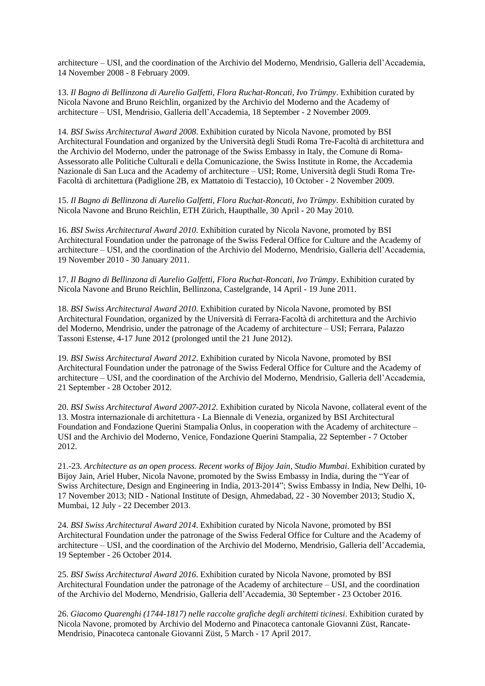architecture – USI, and the coordination of the Archivio del Moderno, Mendrisio, Galleria dell'Accademia, 14 November 2008 - 8 February 2009.

13. *Il Bagno di Bellinzona di Aurelio Galfetti, Flora Ruchat-Roncati, Ivo Trümpy*. Exhibition curated by Nicola Navone and Bruno Reichlin, organized by the Archivio del Moderno and the Academy of architecture – USI, Mendrisio, Galleria dell'Accademia, 18 September - 2 November 2009.

14. *BSI Swiss Architectural Award 2008*. Exhibition curated by Nicola Navone, promoted by BSI Architectural Foundation and organized by the Università degli Studi Roma Tre-Facoltà di architettura and the Archivio del Moderno, under the patronage of the Swiss Embassy in Italy, the Comune di Roma-Assessorato alle Politiche Culturali e della Comunicazione, the Swiss Institute in Rome, the Accademia Nazionale di San Luca and the Academy of architecture – USI; Rome, Università degli Studi Roma Tre-Facoltà di architettura (Padiglione 2B, ex Mattatoio di Testaccio), 10 October - 2 November 2009.

15. *Il Bagno di Bellinzona di Aurelio Galfetti, Flora Ruchat-Roncati, Ivo Trümpy*. Exhibition curated by Nicola Navone and Bruno Reichlin, ETH Zürich, Haupthalle, 30 April - 20 May 2010.

16. *BSI Swiss Architectural Award 2010*. Exhibition curated by Nicola Navone, promoted by BSI Architectural Foundation under the patronage of the Swiss Federal Office for Culture and the Academy of architecture – USI, and the coordination of the Archivio del Moderno, Mendrisio, Galleria dell'Accademia, 19 November 2010 - 30 January 2011.

17. *Il Bagno di Bellinzona di Aurelio Galfetti, Flora Ruchat-Roncati, Ivo Trümpy*. Exhibition curated by Nicola Navone and Bruno Reichlin, Bellinzona, Castelgrande, 14 April - 19 June 2011.

18. *BSI Swiss Architectural Award 2010*. Exhibition curated by Nicola Navone, promoted by BSI Architectural Foundation, organized by the Università di Ferrara-Facoltà di architettura and the Archivio del Moderno, Mendrisio, under the patronage of the Academy of architecture – USI; Ferrara, Palazzo Tassoni Estense, 4-17 June 2012 (prolonged until the 21 June 2012).

19. *BSI Swiss Architectural Award 2012*. Exhibition curated by Nicola Navone, promoted by BSI Architectural Foundation under the patronage of the Swiss Federal Office for Culture and the Academy of architecture – USI, and the coordination of the Archivio del Moderno, Mendrisio, Galleria dell'Accademia, 21 September - 28 October 2012.

20. *BSI Swiss Architectural Award 2007-2012.* Exhibition curated by Nicola Navone, collateral event of the 13. Mostra internazionale di architettura - La Biennale di Venezia, organized by BSI Architectural Foundation and Fondazione Querini Stampalia Onlus, in cooperation with the Academy of architecture – USI and the Archivio del Moderno, Venice, Fondazione Querini Stampalia, 22 September - 7 October 2012.

21.-23. *Architecture as an open process. Recent works of Bijoy Jain, Studio Mumbai*. Exhibition curated by Bijoy Jain, Ariel Huber, Nicola Navone, promoted by the Swiss Embassy in India, during the "Year of Swiss Architecture, Design and Engineering in India, 2013-2014"; Swiss Embassy in India, New Delhi, 10- 17 November 2013; NID - National Institute of Design, Ahmedabad, 22 - 30 November 2013; Studio X, Mumbai, 12 July - 22 December 2013.

24. *BSI Swiss Architectural Award 2014*. Exhibition curated by Nicola Navone, promoted by BSI Architectural Foundation under the patronage of the Swiss Federal Office for Culture and the Academy of architecture – USI, and the coordination of the Archivio del Moderno, Mendrisio, Galleria dell'Accademia, 19 September - 26 October 2014.

25. *BSI Swiss Architectural Award 2016*. Exhibition curated by Nicola Navone, promoted by BSI Architectural Foundation under the patronage of the Academy of architecture  $-\overline{U}SI$ , and the coordination of the Archivio del Moderno, Mendrisio, Galleria dell'Accademia, 30 September - 23 October 2016.

26. *Giacomo Quarenghi (1744-1817) nelle raccolte grafiche degli architetti ticinesi*. Exhibition curated by Nicola Navone, promoted by Archivio del Moderno and Pinacoteca cantonale Giovanni Züst, Rancate-Mendrisio, Pinacoteca cantonale Giovanni Züst, 5 March - 17 April 2017.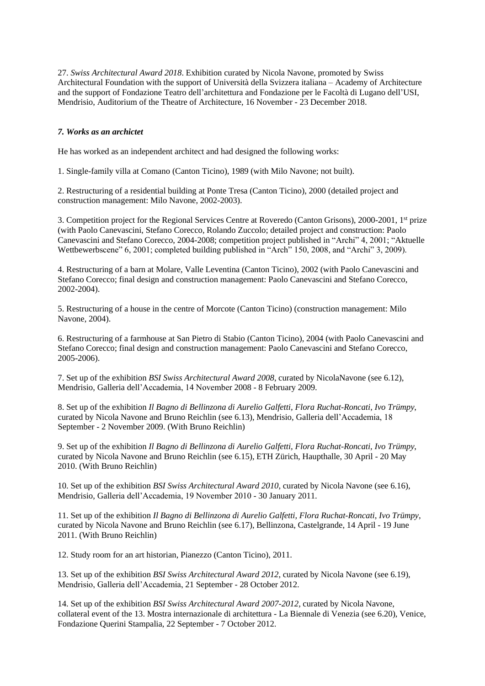27. *Swiss Architectural Award 2018*. Exhibition curated by Nicola Navone, promoted by Swiss Architectural Foundation with the support of Università della Svizzera italiana – Academy of Architecture and the support of Fondazione Teatro dell'architettura and Fondazione per le Facoltà di Lugano dell'USI, Mendrisio, Auditorium of the Theatre of Architecture, 16 November - 23 December 2018.

### *7. Works as an archictet*

He has worked as an independent architect and had designed the following works:

1. Single-family villa at Comano (Canton Ticino), 1989 (with Milo Navone; not built).

2. Restructuring of a residential building at Ponte Tresa (Canton Ticino), 2000 (detailed project and construction management: Milo Navone, 2002-2003).

3. Competition project for the Regional Services Centre at Roveredo (Canton Grisons), 2000-2001, 1st prize (with Paolo Canevascini, Stefano Corecco, Rolando Zuccolo; detailed project and construction: Paolo Canevascini and Stefano Corecco, 2004-2008; competition project published in "Archi" 4, 2001; "Aktuelle Wettbewerbscene" 6, 2001; completed building published in "Arch" 150, 2008, and "Archi" 3, 2009).

4. Restructuring of a barn at Molare, Valle Leventina (Canton Ticino), 2002 (with Paolo Canevascini and Stefano Corecco; final design and construction management: Paolo Canevascini and Stefano Corecco, 2002-2004).

5. Restructuring of a house in the centre of Morcote (Canton Ticino) (construction management: Milo Navone, 2004).

6. Restructuring of a farmhouse at San Pietro di Stabio (Canton Ticino), 2004 (with Paolo Canevascini and Stefano Corecco; final design and construction management: Paolo Canevascini and Stefano Corecco, 2005-2006).

7. Set up of the exhibition *BSI Swiss Architectural Award 2008*, curated by NicolaNavone (see 6.12), Mendrisio, Galleria dell'Accademia, 14 November 2008 - 8 February 2009.

8. Set up of the exhibition *Il Bagno di Bellinzona di Aurelio Galfetti, Flora Ruchat-Roncati, Ivo Trümpy*, curated by Nicola Navone and Bruno Reichlin (see 6.13), Mendrisio, Galleria dell'Accademia, 18 September - 2 November 2009. (With Bruno Reichlin)

9. Set up of the exhibition *Il Bagno di Bellinzona di Aurelio Galfetti, Flora Ruchat-Roncati, Ivo Trümpy*, curated by Nicola Navone and Bruno Reichlin (see 6.15), ETH Zürich, Haupthalle, 30 April - 20 May 2010. (With Bruno Reichlin)

10. Set up of the exhibition *BSI Swiss Architectural Award 2010*, curated by Nicola Navone (see 6.16), Mendrisio, Galleria dell'Accademia, 19 November 2010 - 30 January 2011.

11. Set up of the exhibition *Il Bagno di Bellinzona di Aurelio Galfetti, Flora Ruchat-Roncati, Ivo Trümpy*, curated by Nicola Navone and Bruno Reichlin (see 6.17), Bellinzona, Castelgrande, 14 April - 19 June 2011. (With Bruno Reichlin)

12. Study room for an art historian, Pianezzo (Canton Ticino), 2011.

13. Set up of the exhibition *BSI Swiss Architectural Award 2012*, curated by Nicola Navone (see 6.19), Mendrisio, Galleria dell'Accademia, 21 September - 28 October 2012.

14. Set up of the exhibition *BSI Swiss Architectural Award 2007-2012,* curated by Nicola Navone, collateral event of the 13. Mostra internazionale di architettura - La Biennale di Venezia (see 6.20), Venice, Fondazione Querini Stampalia, 22 September - 7 October 2012.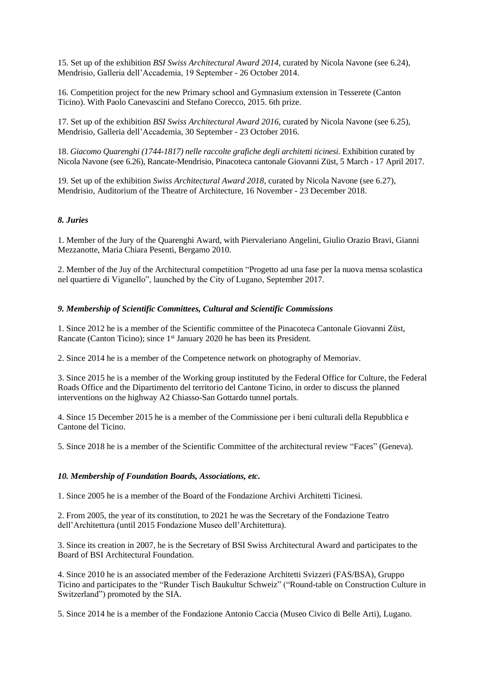15. Set up of the exhibition *BSI Swiss Architectural Award 2014*, curated by Nicola Navone (see 6.24), Mendrisio, Galleria dell'Accademia, 19 September - 26 October 2014.

16. Competition project for the new Primary school and Gymnasium extension in Tesserete (Canton Ticino). With Paolo Canevascini and Stefano Corecco, 2015. 6th prize.

17. Set up of the exhibition *BSI Swiss Architectural Award 2016*, curated by Nicola Navone (see 6.25), Mendrisio, Galleria dell'Accademia, 30 September - 23 October 2016.

18. *Giacomo Quarenghi (1744-1817) nelle raccolte grafiche degli architetti ticinesi*. Exhibition curated by Nicola Navone (see 6.26), Rancate-Mendrisio, Pinacoteca cantonale Giovanni Züst, 5 March - 17 April 2017.

19. Set up of the exhibition *Swiss Architectural Award 2018*, curated by Nicola Navone (see 6.27), Mendrisio, Auditorium of the Theatre of Architecture, 16 November - 23 December 2018.

### *8. Juries*

1. Member of the Jury of the Quarenghi Award, with Piervaleriano Angelini, Giulio Orazio Bravi, Gianni Mezzanotte, Maria Chiara Pesenti, Bergamo 2010.

2. Member of the Juy of the Architectural competition "Progetto ad una fase per la nuova mensa scolastica nel quartiere di Viganello", launched by the City of Lugano, September 2017.

#### *9. Membership of Scientific Committees, Cultural and Scientific Commissions*

1. Since 2012 he is a member of the Scientific committee of the Pinacoteca Cantonale Giovanni Züst, Rancate (Canton Ticino); since 1<sup>st</sup> January 2020 he has been its President.

2. Since 2014 he is a member of the Competence network on photography of Memoriav.

3. Since 2015 he is a member of the Working group instituted by the Federal Office for Culture, the Federal Roads Office and the Dipartimento del territorio del Cantone Ticino, in order to discuss the planned interventions on the highway A2 Chiasso-San Gottardo tunnel portals.

4. Since 15 December 2015 he is a member of the Commissione per i beni culturali della Repubblica e Cantone del Ticino.

5. Since 2018 he is a member of the Scientific Committee of the architectural review "Faces" (Geneva).

### *10. Membership of Foundation Boards, Associations, etc.*

1. Since 2005 he is a member of the Board of the Fondazione Archivi Architetti Ticinesi.

2. From 2005, the year of its constitution, to 2021 he was the Secretary of the Fondazione Teatro dell'Architettura (until 2015 Fondazione Museo dell'Architettura).

3. Since its creation in 2007, he is the Secretary of BSI Swiss Architectural Award and participates to the Board of BSI Architectural Foundation.

4. Since 2010 he is an associated member of the Federazione Architetti Svizzeri (FAS/BSA), Gruppo Ticino and participates to the "Runder Tisch Baukultur Schweiz" ("Round-table on Construction Culture in Switzerland") promoted by the SIA.

5. Since 2014 he is a member of the Fondazione Antonio Caccia (Museo Civico di Belle Arti), Lugano.